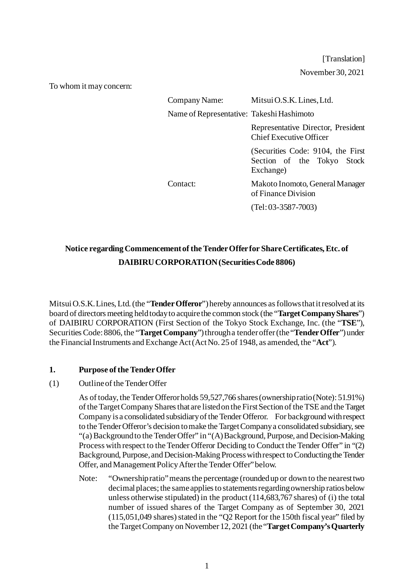[Translation] November 30, 2021

To whom it may concern:

| Company Name:                             | Mitsui O.S.K. Lines, Ltd.                                                    |
|-------------------------------------------|------------------------------------------------------------------------------|
| Name of Representative: Takeshi Hashimoto |                                                                              |
|                                           | Representative Director, President<br><b>Chief Executive Officer</b>         |
|                                           | (Securities Code: 9104, the First<br>Section of the Tokyo Stock<br>Exchange) |
| Contact:                                  | Makoto Inomoto, General Manager<br>of Finance Division                       |
|                                           | $(Tel: 03-3587-7003)$                                                        |

# **Notice regarding Commencement of the Tender Offer for Share Certificates, Etc. of DAIBIRU CORPORATION(Securities Code 8806)**

Mitsui O.S.K. Lines, Ltd.(the "**Tender Offeror**") hereby announces as follows that it resolved at its board of directors meeting held today to acquire the common stock (the "**Target Company Shares**") of DAIBIRU CORPORATION (First Section of the Tokyo Stock Exchange, Inc. (the "**TSE**"), Securities Code: 8806, the "**Target Company**") through a tender offer (the "**Tender Offer**") under the Financial Instruments and Exchange Act (Act No. 25 of 1948, as amended, the "**Act**").

### **1. Purpose of the Tender Offer**

### (1) Outline of the Tender Offer

As of today, the Tender Offeror holds 59,527,766 shares (ownership ratio (Note): 51.91%) of the Target Company Shares that are listed on the First Section of the TSE and the Target Company is a consolidated subsidiary of the Tender Offeror. For background with respect to the Tender Offeror's decision to make the Target Company a consolidated subsidiary, see "(a) Background to the Tender Offer" in "(A) Background, Purpose, and Decision-Making Process with respect to the Tender Offeror Deciding to Conduct the Tender Offer" in "(2) Background, Purpose, and Decision-Making Process with respect to Conducting the Tender Offer, and Management Policy After the Tender Offer" below.

Note: "Ownership ratio" means the percentage (rounded up or down to the nearest two decimal places; the same applies to statements regarding ownership ratios below unless otherwise stipulated) in the product (114,683,767 shares) of (i) the total number of issued shares of the Target Company as of September 30, 2021 (115,051,049 shares) stated in the "Q2 Report for the 150th fiscal year" filed by the Target Company on November 12, 2021 (the "**Target Company's Quarterly**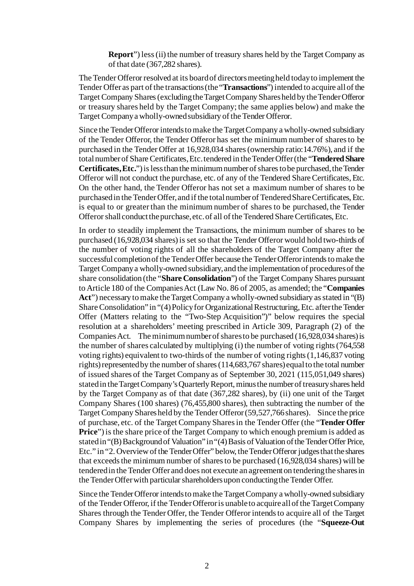**Report**") less (ii) the number of treasury shares held by the Target Company as of that date (367,282 shares).

The Tender Offeror resolved at its board of directors meeting held today to implement the Tender Offer as part of the transactions (the "**Transactions**") intended to acquire all of the Target Company Shares (excluding the Target Company Shares held by the Tender Offeror or treasury shares held by the Target Company; the same applies below) and make the Target Company a wholly-owned subsidiary of the Tender Offeror.

Since the Tender Offeror intends to make the Target Company a wholly-owned subsidiary of the Tender Offeror, the Tender Offeror has set the minimum number of shares to be purchased in the Tender Offer at 16,928,034 shares (ownership ratio:14.76%), and if the total number of Share Certificates, Etc. tendered in the Tender Offer (the "**Tendered Share Certificates, Etc.**") is less than the minimum number of shares to be purchased, the Tender Offeror will not conduct the purchase, etc. of any of the Tendered Share Certificates, Etc. On the other hand, the Tender Offeror has not set a maximum number of shares to be purchased in the Tender Offer, and if the total number of Tendered Share Certificates, Etc. is equal to or greater than the minimum number of shares to be purchased, the Tender Offeror shall conduct the purchase, etc. of all of the Tendered Share Certificates, Etc.

In order to steadily implement the Transactions, the minimum number of shares to be purchased (16,928,034 shares) is set so that the Tender Offeror would hold two-thirds of the number of voting rights of all the shareholders of the Target Company after the successful completion of the Tender Offer because the Tender Offeror intends to make the Target Company a wholly-owned subsidiary, and the implementation of procedures of the share consolidation (the "**Share Consolidation**") of the Target Company Shares pursuant to Article 180 of the Companies Act (Law No. 86 of 2005, as amended; the "**Companies Act**") necessary to make the Target Company a wholly-owned subsidiary as stated in "(B) Share Consolidation" in "(4) Policy for Organizational Restructuring, Etc. after the Tender Offer (Matters relating to the "Two-Step Acquisition")" below requires the special resolution at a shareholders' meeting prescribed in Article 309, Paragraph (2) of the Companies Act. The minimum number of shares to be purchased (16,928,034 shares) is the number of shares calculated by multiplying (i) the number of voting rights (764,558 voting rights) equivalent to two-thirds of the number of voting rights (1,146,837 voting rights) represented by the number of shares (114,683,767 shares) equal to the total number of issued shares of the Target Company as of September 30, 2021 (115,051,049 shares) stated in the Target Company's Quarterly Report, minus the number of treasury shares held by the Target Company as of that date (367,282 shares), by (ii) one unit of the Target Company Shares (100 shares) (76,455,800 shares), then subtracting the number of the Target Company Shares held by the Tender Offeror(59,527,766 shares). Since the price of purchase, etc. of the Target Company Shares in the Tender Offer (the "**Tender Offer Price**") is the share price of the Target Company to which enough premium is added as stated in "(B) Background of Valuation" in "(4) Basis of Valuation of the Tender Offer Price, Etc." in "2. Overviewof the Tender Offer" below, the Tender Offeror judges that the shares that exceeds the minimum number of shares to be purchased (16,928,034 shares) will be tendered in the Tender Offer and does not execute an agreement on tendering the shares in the Tender Offer with particular shareholders upon conducting the Tender Offer.

Since the Tender Offeror intends to make the Target Company a wholly-owned subsidiary of the Tender Offeror, if the Tender Offeror is unable to acquire all of the Target Company Shares through the Tender Offer, the Tender Offeror intends to acquire all of the Target Company Shares by implementing the series of procedures (the "**Squeeze-Out**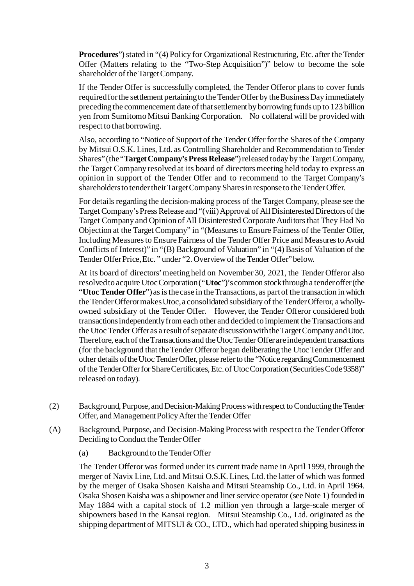**Procedures**") stated in "(4) Policy for Organizational Restructuring, Etc. after the Tender Offer (Matters relating to the "Two-Step Acquisition")" below to become the sole shareholder of the Target Company.

If the Tender Offer is successfully completed, the Tender Offeror plans to cover funds required for the settlement pertaining to the Tender Offer by the Business Day immediately preceding the commencement date of that settlement by borrowing funds up to 123 billion yen from Sumitomo Mitsui Banking Corporation. No collateral will be provided with respect to that borrowing.

Also, according to "Notice of Support of the Tender Offer for the Shares of the Company by Mitsui O.S.K. Lines, Ltd. as Controlling Shareholder and Recommendation to Tender Shares" (the "**Target Company's Press Release**") released today by the Target Company, the Target Company resolved at its board of directors meeting held today to express an opinion in support of the Tender Offer and to recommend to the Target Company's shareholders to tender their Target Company Shares in response to the Tender Offer.

For details regarding the decision-making process of the Target Company, please see the Target Company's Press Release and "(viii) Approval of All Disinterested Directors of the Target Company and Opinion of All Disinterested Corporate Auditors that They Had No Objection at the Target Company" in "(Measures to Ensure Fairness of the Tender Offer, Including Measures to Ensure Fairness of the Tender Offer Price and Measures to Avoid Conflicts of Interest)" in "(B) Background of Valuation" in "(4) Basis of Valuation of the Tender Offer Price, Etc. " under "2. Overviewof the Tender Offer" below.

At its board of directors' meeting held on November 30, 2021, the Tender Offeror also resolved to acquire Utoc Corporation ("**Utoc**")'s common stock through a tender offer (the "**UtocTender Offer**") as is the case in the Transactions, as part of the transaction in which the Tender Offeror makes Utoc, a consolidated subsidiary of the Tender Offeror, a whollyowned subsidiary of the Tender Offer. However, the Tender Offeror considered both transactions independently from each other and decided to implement the Transactions and the Utoc Tender Offer as a result of separate discussion with the Target Company and Utoc. Therefore, each of the Transactions and the Utoc Tender Offer are independent transactions (for the background that the Tender Offeror began deliberating the Utoc Tender Offer and other details of the UtocTender Offer, please refer to the "Notice regarding Commencement of the Tender Offer for Share Certificates, Etc. of Utoc Corporation (Securities Code 9358)" released on today).

- (2) Background, Purpose, and Decision-Making Process with respect to Conducting the Tender Offer, and Management Policy After the Tender Offer
- (A) Background, Purpose, and Decision-Making Process with respect to the Tender Offeror Deciding to Conduct the Tender Offer
	- (a) Background to the Tender Offer

The Tender Offeror was formed under its current trade name in April 1999, through the merger of Navix Line, Ltd. and Mitsui O.S.K. Lines, Ltd. the latter of which was formed by the merger of Osaka Shosen Kaisha and Mitsui Steamship Co., Ltd. in April 1964. Osaka Shosen Kaisha was a shipowner and liner service operator (see Note 1) founded in May 1884 with a capital stock of 1.2 million yen through a large-scale merger of shipowners based in the Kansai region. Mitsui Steamship Co., Ltd. originated as the shipping department of MITSUI  $& CO$ , LTD., which had operated shipping business in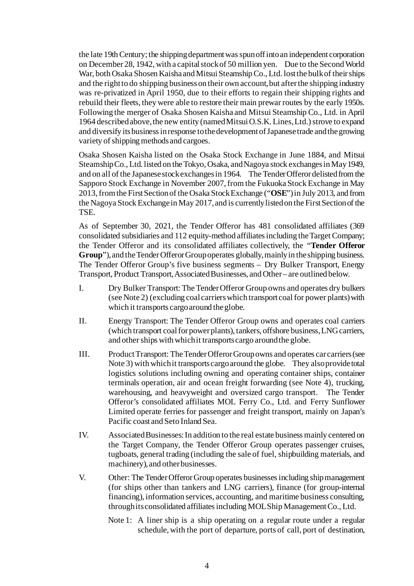the late 19th Century; the shipping department was spun off into an independent corporation on December 28, 1942, with a capital stock of 50 million yen. Due to the Second World War, both Osaka Shosen Kaisha and Mitsui Steamship Co., Ltd. lost the bulk of their ships and the right to do shipping business on their own account, but after the shipping industry was re-privatized in April 1950, due to their efforts to regain their shipping rights and rebuild their fleets, they were able to restore their main prewar routes by the early 1950s. Following the merger of Osaka Shosen Kaisha and Mitsui Steamship Co., Ltd. in April 1964 described above, the new entity (named Mitsui O.S.K. Lines, Ltd.) strove to expand and diversify its business in response to the development of Japanese trade and the growing variety of shipping methods and cargoes.

Osaka Shosen Kaisha listed on the Osaka Stock Exchange in June 1884, and Mitsui Steamship Co., Ltd. listed on the Tokyo, Osaka, and Nagoya stock exchanges in May 1949, and on all of the Japanese stock exchanges in 1964. The Tender Offeror delisted from the Sapporo Stock Exchange in November 2007, from the Fukuoka Stock Exchange in May 2013, from the First Section of the Osaka Stock Exchange ("**OSE**") in July 2013, and from the Nagoya Stock Exchange in May 2017, and is currently listed on the First Section of the TSE.

As of September 30, 2021, the Tender Offeror has 481 consolidated affiliates (369 consolidated subsidiaries and 112 equity-method affiliates including the Target Company; the Tender Offeror and its consolidated affiliates collectively, the "**Tender Offeror Group**"), and the Tender Offeror Group operates globally, mainly in the shipping business. The Tender Offeror Group's five business segments – Dry Bulker Transport, Energy Transport, Product Transport, Associated Businesses, and Other – are outlined below.

- I. Dry Bulker Transport: The Tender Offeror Group owns and operates dry bulkers (see Note 2) (excluding coal carriers which transport coal for power plants) with which it transports cargo around the globe.
- II. Energy Transport: The Tender Offeror Group owns and operates coal carriers (which transport coal for power plants), tankers, offshore business, LNG carriers, and other ships with which it transports cargo around the globe.
- III. Product Transport: The Tender Offeror Group owns and operates car carriers (see Note 3) with which it transports cargo around the globe. They also provide total logistics solutions including owning and operating container ships, container terminals operation, air and ocean freight forwarding (see Note 4), trucking, warehousing, and heavyweight and oversized cargo transport. The Tender Offeror's consolidated affiliates MOL Ferry Co., Ltd. and Ferry Sunflower Limited operate ferries for passenger and freight transport, mainly on Japan's Pacific coast and Seto Inland Sea.
- IV. Associated Businesses: In addition to the real estate business mainly centered on the Target Company, the Tender Offeror Group operates passenger cruises, tugboats, general trading (including the sale of fuel, shipbuilding materials, and machinery), and other businesses.
- V. Other: The Tender Offeror Group operates businesses including ship management (for ships other than tankers and LNG carriers), finance (for group-internal financing), information services, accounting, and maritime business consulting, through its consolidated affiliates including MOL Ship Management Co., Ltd.
	- Note 1: A liner ship is a ship operating on a regular route under a regular schedule, with the port of departure, ports of call, port of destination,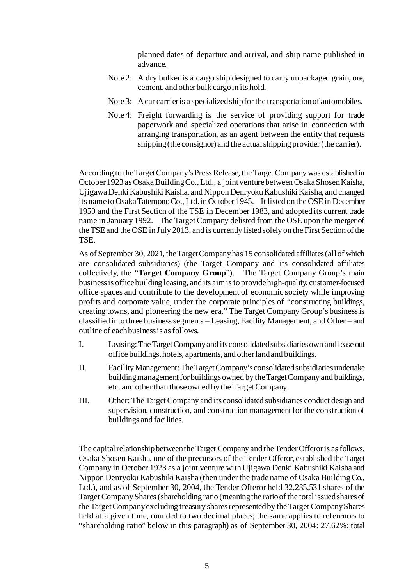planned dates of departure and arrival, and ship name published in advance.

- Note 2: A dry bulker is a cargo ship designed to carry unpackaged grain, ore, cement, and other bulk cargo in its hold.
- Note 3: A car carrier is a specialized ship for the transportation of automobiles.
- Note 4: Freight forwarding is the service of providing support for trade paperwork and specialized operations that arise in connection with arranging transportation, as an agent between the entity that requests shipping (the consignor) and the actual shipping provider (the carrier).

According to the Target Company's Press Release, the Target Company was established in October 1923 as Osaka Building Co., Ltd., a joint venture between Osaka Shosen Kaisha, Ujigawa Denki Kabushiki Kaisha, and Nippon Denryoku Kabushiki Kaisha, and changed its name to Osaka Tatemono Co., Ltd. in October 1945. It listed on the OSE in December 1950 and the First Section of the TSE in December 1983, and adopted its current trade name in January 1992. The Target Company delisted from the OSE upon the merger of the TSE and the OSE in July 2013, and is currently listed solely on the First Section of the TSE.

As of September 30, 2021, the Target Company has 15 consolidated affiliates (all of which are consolidated subsidiaries) (the Target Company and its consolidated affiliates collectively, the "**Target Company Group**"). The Target Company Group's main business is office building leasing, and its aim is to provide high-quality, customer-focused office spaces and contribute to the development of economic society while improving profits and corporate value, under the corporate principles of "constructing buildings, creating towns, and pioneering the new era." The Target Company Group's business is classified into three business segments – Leasing, Facility Management, and Other – and outline of each business is as follows.

- I. Leasing: The Target Company and its consolidated subsidiaries own and lease out office buildings, hotels, apartments, and other land and buildings.
- II. Facility Management: The Target Company's consolidated subsidiaries undertake buildingmanagement for buildings owned by the Target Company and buildings, etc. and other than thoseowned by the Target Company.
- III. Other: The Target Company and its consolidated subsidiaries conduct design and supervision, construction, and construction management for the construction of buildings and facilities.

The capital relationship between the Target Company and the Tender Offeror is as follows. Osaka Shosen Kaisha, one of the precursors of the Tender Offeror, established the Target Company in October 1923 as a joint venture with Ujigawa Denki Kabushiki Kaisha and Nippon Denryoku Kabushiki Kaisha (then under the trade name of Osaka Building Co., Ltd.), and as of September 30, 2004, the Tender Offeror held 32,235,531 shares of the Target Company Shares (shareholding ratio (meaning the ratio of the total issued shares of the Target Company excluding treasury shares represented by the Target Company Shares held at a given time, rounded to two decimal places; the same applies to references to "shareholding ratio" below in this paragraph) as of September 30, 2004: 27.62%; total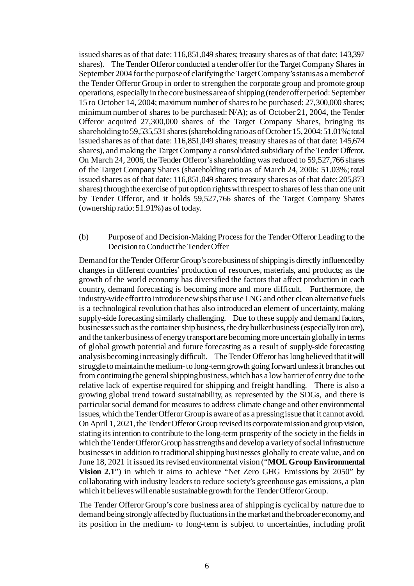issued shares as of that date: 116,851,049 shares; treasury shares as of that date: 143,397 shares). The Tender Offeror conducted a tender offer for the Target Company Shares in September 2004 for the purpose of clarifying the Target Company's status as a member of the Tender Offeror Group in order to strengthen the corporate group and promote group operations, especially in the core business area of shipping (tender offer period: September 15 to October 14, 2004; maximum number of shares to be purchased: 27,300,000 shares; minimum number of shares to be purchased: N/A); as of October 21, 2004, the Tender Offeror acquired 27,300,000 shares of the Target Company Shares, bringing its shareholding to 59,535,531 shares (shareholding ratio as of October 15, 2004: 51.01%; total issued shares as of that date: 116,851,049 shares; treasury shares as of that date: 145,674 shares), and making the Target Company a consolidated subsidiary of the Tender Offeror. On March 24, 2006, the Tender Offeror's shareholding was reduced to 59,527,766 shares of the Target Company Shares (shareholding ratio as of March 24, 2006: 51.03%; total issued shares as of that date: 116,851,049 shares; treasury shares as of that date: 205,873 shares) through the exercise of put option rights with respect to shares of less than one unit by Tender Offeror, and it holds 59,527,766 shares of the Target Company Shares (ownership ratio: 51.91%) as of today.

# (b) Purpose of and Decision-Making Process for the Tender Offeror Leading to the Decision to Conduct the Tender Offer

Demand for the Tender Offeror Group's core business of shipping is directly influenced by changes in different countries' production of resources, materials, and products; as the growth of the world economy has diversified the factors that affect production in each country, demand forecasting is becoming more and more difficult. Furthermore, the industry-wide effort to introduce new ships that use LNG and other clean alternative fuels is a technological revolution that has also introduced an element of uncertainty, making supply-side forecasting similarly challenging. Due to these supply and demand factors, businesses such as the container ship business, the dry bulker business (especially iron ore), and the tanker business of energy transport are becoming more uncertain globally in terms of global growth potential and future forecasting as a result of supply-side forecasting analysis becoming increasingly difficult. The Tender Offeror has long believed that it will struggle to maintain the medium-to long-term growth going forward unless it branches out from continuing the general shipping business, which has a low barrier of entry due to the relative lack of expertise required for shipping and freight handling. There is also a growing global trend toward sustainability, as represented by the SDGs, and there is particular social demand for measures to address climate change and other environmental issues, which the Tender Offeror Group is aware of as a pressing issue that it cannot avoid. On April 1, 2021, the Tender Offeror Group revised its corporate mission and group vision, stating its intention to contribute to the long-term prosperity of the society in the fields in which the Tender Offeror Group has strengths and develop a variety of social infrastructure businesses in addition to traditional shipping businesses globally to create value, and on June 18, 2021 it issued its revised environmental vision ("**MOL Group Environmental Vision 2.1**") in which it aims to achieve "Net Zero GHG Emissions by 2050" by collaborating with industry leaders to reduce society's greenhouse gas emissions, a plan which it believes will enable sustainable growth for the Tender Offeror Group.

The Tender Offeror Group's core business area of shipping is cyclical by nature due to demand being strongly affected by fluctuations in the market and the broader economy, and its position in the medium- to long-term is subject to uncertainties, including profit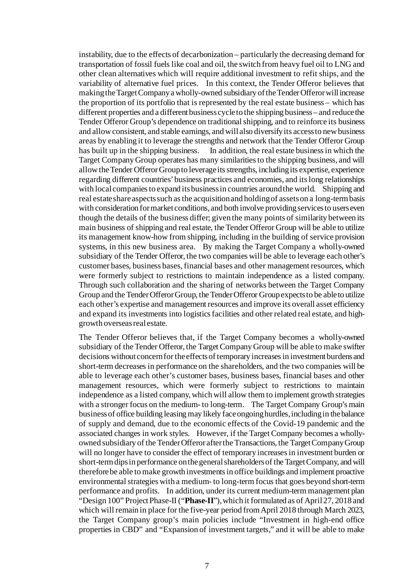instability, due to the effects of decarbonization – particularly the decreasing demand for transportation of fossil fuels like coal and oil, the switch from heavy fuel oil to LNG and other clean alternatives which will require additional investment to refit ships, and the variability of alternative fuel prices. In this context, the Tender Offeror believes that making the Target Company a wholly-owned subsidiary of the Tender Offeror will increase the proportion of its portfolio that is represented by the real estate business – which has different properties and a different business cycle to the shipping business – and reduce the Tender Offeror Group's dependence on traditional shipping, and to reinforce its business and allow consistent, and stable earnings, and will also diversify its access to new business areas by enabling it to leverage the strengths and network that the Tender Offeror Group<br>has built up in the shipping business. In addition, the real estate business in which the In addition, the real estate business in which the Target Company Group operates has many similarities to the shipping business, and will allow the Tender Offeror Group to leverage its strengths, including its expertise, experience regarding different countries' business practices and economies, and its long relationships with local companies to expand its business in countries around the world. Shipping and real estate share aspects such as the acquisition and holding of assets on a long-term basis with consideration for market conditions, and both involve providing services to users even though the details of the business differ; given the many points of similarity between its main business of shipping and real estate, the Tender Offeror Group will be able to utilize its management know-how from shipping, including in the building of service provision systems, in this new business area. By making the Target Company a wholly-owned subsidiary of the Tender Offeror, the two companies will be able to leverage each other's customer bases, business bases, financial bases and other management resources, which were formerly subject to restrictions to maintain independence as a listed company. Through such collaboration and the sharing of networks between the Target Company Group and the Tender Offeror Group, the Tender Offeror Group expects to be able to utilize each other's expertise and management resources and improve its overall asset efficiency and expand its investments into logistics facilities and other related real estate, and highgrowth overseas real estate.

The Tender Offeror believes that, if the Target Company becomes a wholly-owned subsidiary of the Tender Offeror, the Target Company Group will be able to make swifter decisions without concern for the effects of temporary increases in investment burdens and short-term decreases in performance on the shareholders, and the two companies will be able to leverage each other's customer bases, business bases, financial bases and other management resources, which were formerly subject to restrictions to maintain independence as a listed company, which will allow them to implement growth strategies with a stronger focus on the medium- to long-term. The Target Company Group's main business of office building leasing may likely face ongoing hurdles, including in the balance of supply and demand, due to the economic effects of the Covid-19 pandemic and the associated changes in work styles. However, if the Target Company becomes a whollyowned subsidiary of the Tender Offeror after the Transactions, the Target Company Group will no longer have to consider the effect of temporary increases in investment burden or short-term dips in performance on the general shareholders of the Target Company, and will therefore be able to make growth investments in office buildings and implement proactive environmental strategies with a medium- to long-term focus that goes beyond short-term performance and profits. In addition, under its current medium-term management plan "Design 100" Project Phase-II ("**Phase-II**"), which it formulated as of April 27, 2018 and which will remain in place for the five-year period from April 2018 through March 2023, the Target Company group's main policies include "Investment in high-end office properties in CBD" and "Expansion of investment targets," and it will be able to make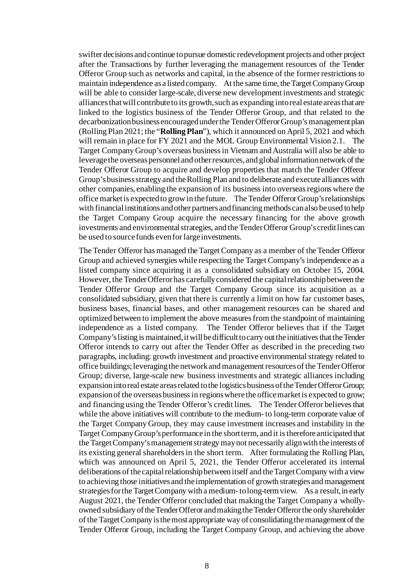swifter decisions and continue to pursue domestic redevelopment projects and other project after the Transactions by further leveraging the management resources of the Tender Offeror Group such as networks and capital, in the absence of the former restrictions to maintain independence as a listed company. At the same time, the Target Company Group will be able to consider large-scale, diverse new development investments and strategic alliances that will contribute to its growth, such as expanding into real estate areas that are linked to the logistics business of the Tender Offeror Group, and that related to the decarbonization business encouraged under the Tender Offeror Group's management plan (Rolling Plan 2021; the "**RollingPlan**"), which it announced on April 5, 2021 and which will remain in place for FY 2021 and the MOL Group Environmental Vision 2.1. The Target Company Group's overseas business in Vietnam and Australia will also be able to leverage the overseas personnel and other resources, and global information network of the Tender Offeror Group to acquire and develop properties that match the Tender Offeror Group's business strategy and the Rolling Plan and to deliberate and execute alliances with other companies, enabling the expansion of its business into overseas regions where the office market is expected to grow in the future. The Tender Offeror Group's relationships with financial institutions and other partners and financing methods can also be used to help the Target Company Group acquire the necessary financing for the above growth investments and environmental strategies, and the Tender Offeror Group's credit lines can be used to source funds even for large investments.

The Tender Offeror has managed the Target Company as a member of the Tender Offeror Group and achieved synergies while respecting the Target Company's independence as a listed company since acquiring it as a consolidated subsidiary on October 15, 2004. However, the Tender Offeror has carefullyconsidered the capital relationship between the Tender Offeror Group and the Target Company Group since its acquisition as a consolidated subsidiary, given that there is currently a limit on how far customer bases, business bases, financial bases, and other management resources can be shared and optimized between to implement the above measures from the standpoint of maintaining independence as a listed company. The Tender Offeror believes that if the Target Company's listing is maintained, it will be difficult to carry out the initiatives that the Tender Offeror intends to carry out after the Tender Offer as described in the preceding two paragraphs, including: growth investment and proactive environmental strategy related to office buildings; leveraging the network and management resources of the Tender Offeror Group; diverse, large-scale new business investments and strategic alliances including expansion into real estate areas related to the logistics business of the Tender Offeror Group; expansion of the overseas business in regions where the office market is expected to grow; and financing using the Tender Offeror's credit lines. The Tender Offeror believes that while the above initiatives will contribute to the medium- to long-term corporate value of the Target Company Group, they may cause investment increases and instability in the Target Company Group's performance in the short term, and it is therefore anticipated that the Target Company's management strategy may not necessarily align with the interests of its existing general shareholders in the short term. After formulating the Rolling Plan, which was announced on April 5, 2021, the Tender Offeror accelerated its internal deliberations of the capital relationship between itself and the Target Company with a view to achieving those initiatives and the implementation of growth strategies and management strategies for the Target Company with a medium- to long-term view. As a result, in early August 2021, the Tender Offeror concluded that making the Target Company a whollyowned subsidiary of the Tender Offeror and making the Tender Offeror the only shareholder of the Target Company is the most appropriate way of consolidating the management of the Tender Offeror Group, including the Target Company Group, and achieving the above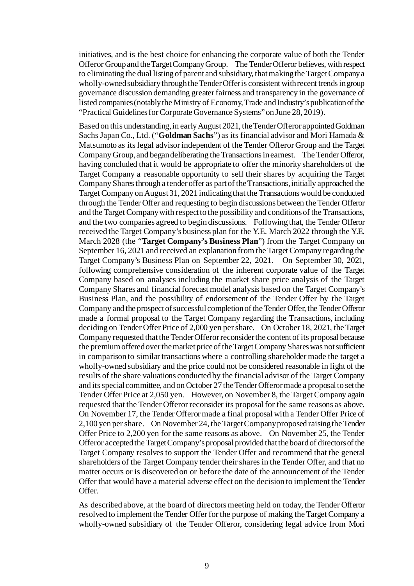initiatives, and is the best choice for enhancing the corporate value of both the Tender Offeror Group and the Target Company Group. The Tender Offeror believes, with respect to eliminating the dual listing of parent and subsidiary, that making the Target Company a wholly-owned subsidiary through the Tender Offeris consistent with recent trends in group governance discussion demanding greater fairness and transparency in the governance of listed companies (notably the Ministry of Economy, Trade and Industry's publication of the "Practical Guidelines for Corporate Governance Systems" on June 28, 2019).

Based on this understanding, in early August 2021, the Tender Offeror appointed Goldman Sachs Japan Co., Ltd. ("**Goldman Sachs**") as its financial advisor and Mori Hamada & Matsumoto as its legal advisor independent of the Tender Offeror Group and the Target Company Group, and began deliberating the Transactions in earnest. The Tender Offeror, having concluded that it would be appropriate to offer the minority shareholders of the Target Company a reasonable opportunity to sell their shares by acquiring the Target Company Shares through a tender offer as part of the Transactions, initially approached the Target Company on August 31, 2021 indicating that the Transactions would be conducted through the Tender Offer and requesting to begin discussions between the Tender Offeror and the Target Company with respect to the possibility and conditions of the Transactions, and the two companies agreed to begin discussions. Following that, the Tender Offeror received the Target Company's business plan for the Y.E. March 2022 through the Y.E. March 2028 (the "**Target Company's Business Plan**") from the Target Company on September 16, 2021 and received an explanation from the Target Company regarding the Target Company's Business Plan on September 22, 2021. On September 30, 2021, following comprehensive consideration of the inherent corporate value of the Target Company based on analyses including the market share price analysis of the Target Company Shares and financial forecast model analysis based on the Target Company's Business Plan, and the possibility of endorsement of the Tender Offer by the Target Company and the prospect of successful completion of the Tender Offer, the Tender Offeror made a formal proposal to the Target Company regarding the Transactions, including deciding on Tender Offer Price of 2,000 yen per share. On October 18, 2021, the Target Company requested that the Tender Offeror reconsider the content of its proposal because the premium offered over the market price of the Target Company Shares was not sufficient in comparison to similar transactions where a controlling shareholder made the target a wholly-owned subsidiary and the price could not be considered reasonable in light of the results of the share valuations conducted by the financial advisor of the Target Company and its special committee, and on October 27 the Tender Offeror made a proposal to set the Tender Offer Price at 2,050 yen. However, on November 8, the Target Company again requested that the Tender Offeror reconsider its proposal for the same reasons as above. On November 17, the Tender Offeror made a final proposal with a Tender Offer Price of 2,100 yen per share. On November 24, the Target Company proposed raising the Tender Offer Price to 2,200 yen for the same reasons as above. On November 25, the Tender Offeror accepted the Target Company's proposal provided that the board of directors of the Target Company resolves to support the Tender Offer and recommend that the general shareholders of the Target Company tender their shares in the Tender Offer, and that no matter occurs or is discovered on or before the date of the announcement of the Tender Offer that would have a material adverse effect on the decision to implement the Tender Offer.

As described above, at the board of directors meeting held on today, the Tender Offeror resolved to implement the Tender Offer for the purpose of making the Target Company a wholly-owned subsidiary of the Tender Offeror, considering legal advice from Mori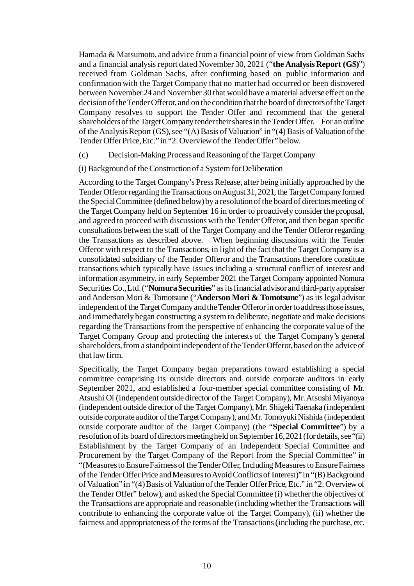Hamada & Matsumoto, and advice from a financial point of view from Goldman Sachs and a financial analysis report dated November 30, 2021 ("**the Analysis Report (GS)**") received from Goldman Sachs, after confirming based on public information and confirmation with the Target Company that no matter had occurred or been discovered between November 24 and November 30 that would have a material adverse effect on the decision of the Tender Offeror, and on the condition that the board of directors of the Target Company resolves to support the Tender Offer and recommend that the general shareholders of the Target Company tender their shares in the Tender Offer. For an outline of the Analysis Report (GS), see "(A) Basis of Valuation" in "(4) Basis of Valuation of the Tender Offer Price, Etc." in "2. Overviewof the Tender Offer" below.

- (c) Decision-Making Process and Reasoning of the Target Company
- (i) Background of the Construction of a System for Deliberation

According to the Target Company's Press Release, after being initially approached by the Tender Offeror regarding the Transactions on August 31, 2021, the Target Company formed the Special Committee (defined below) by a resolution of the board of directors meeting of the Target Company held on September 16 in order to proactively consider the proposal, and agreed to proceed with discussions with the Tender Offeror, and then began specific consultations between the staff of the Target Company and the Tender Offeror regarding the Transactions as described above. When beginning discussions with the Tender Offeror with respect to the Transactions, in light of the fact that the Target Company is a consolidated subsidiary of the Tender Offeror and the Transactions therefore constitute transactions which typically have issues including a structural conflict of interest and information asymmetry, in early September 2021 the Target Company appointed Nomura Securities Co., Ltd. ("**NomuraSecurities**" as its financial advisor and third-party appraiser and Anderson Mori & Tomotsune ("**Anderson Mori & Tomotsune**") as its legal advisor independent of the Target Company and the Tender Offeror in order to address those issues, and immediately began constructing a system to deliberate, negotiate and make decisions regarding the Transactions from the perspective of enhancing the corporate value of the Target Company Group and protecting the interests of the Target Company's general shareholders, from a standpoint independent of the Tender Offeror, based on the advice of that law firm.

Specifically, the Target Company began preparations toward establishing a special committee comprising its outside directors and outside corporate auditors in early September 2021, and established a four-member special committee consisting of Mr. Atsushi Oi (independent outside director of the Target Company), Mr. Atsushi Miyanoya (independent outside director of the Target Company), Mr. Shigeki Taenaka (independent outside corporate auditor of the Target Company), and Mr. Tomoyuki Nishida (independent outside corporate auditor of the Target Company) (the "**Special Committee**") by a resolution of its board of directors meeting held on September 16, 2021 (for details, see "(ii) Establishment by the Target Company of an Independent Special Committee and Procurement by the Target Company of the Report from the Special Committee" in "(Measures to Ensure Fairness of the Tender Offer, Including Measures to Ensure Fairness of the Tender Offer Price and Measures to Avoid Conflicts of Interest)" in "(B) Background of Valuation" in "(4) Basis of Valuation of the Tender Offer Price, Etc." in "2. Overviewof the Tender Offer" below), and asked the Special Committee (i) whether the objectives of the Transactions are appropriate and reasonable (including whether the Transactions will contribute to enhancing the corporate value of the Target Company), (ii) whether the fairness and appropriateness of the terms of the Transactions (including the purchase, etc.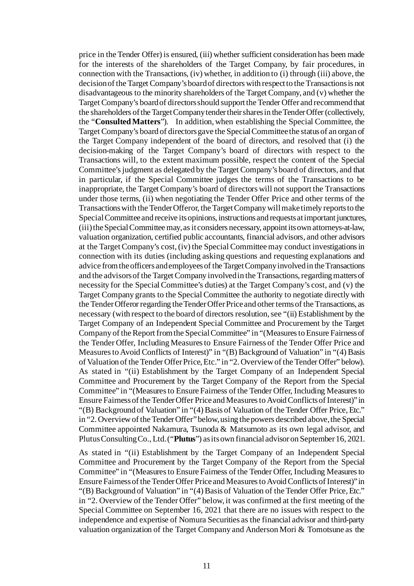price in the Tender Offer) is ensured, (iii) whether sufficient consideration has been made for the interests of the shareholders of the Target Company, by fair procedures, in connection with the Transactions, (iv) whether, in addition to (i) through (iii) above, the decision of the Target Company's board of directors with respect to the Transactions is not disadvantageous to the minority shareholders of the Target Company, and (v) whether the Target Company's board of directors should support the Tender Offer and recommend that the shareholders of the Target Company tender their shares in the Tender Offer (collectively, the "**Consulted Matters**"). In addition, when establishing the Special Committee, the Target Company's board of directors gave the Special Committee the status of an organ of the Target Company independent of the board of directors, and resolved that (i) the decision-making of the Target Company's board of directors with respect to the Transactions will, to the extent maximum possible, respect the content of the Special Committee's judgment as delegated by the Target Company's board of directors, and that in particular, if the Special Committee judges the terms of the Transactions to be inappropriate, the Target Company's board of directors will not support the Transactions under those terms, (ii) when negotiating the Tender Offer Price and other terms of the Transactions with the Tender Offeror, the Target Company will make timely reports to the Special Committee and receive its opinions, instructions and requests at important junctures, (iii) the Special Committee may, as it considers necessary, appoint its own attorneys-at-law, valuation organization, certified public accountants, financial advisors, and other advisors at the Target Company's cost, (iv) the Special Committee may conduct investigations in connection with its duties (including asking questions and requesting explanations and advice from the officers and employees of the Target Company involved in the Transactions and the advisors of the Target Company involved in the Transactions, regarding matters of necessity for the Special Committee's duties) at the Target Company's cost, and (v) the Target Company grants to the Special Committee the authority to negotiate directly with the Tender Offeror regarding the Tender Offer Price and other terms of the Transactions, as necessary (with respect to the board of directors resolution, see "(ii) Establishment by the Target Company of an Independent Special Committee and Procurement by the Target Company of the Report from the Special Committee" in "(Measures to Ensure Fairness of the Tender Offer, Including Measures to Ensure Fairness of the Tender Offer Price and Measures to Avoid Conflicts of Interest)" in "(B) Background of Valuation" in "(4) Basis of Valuation of the Tender Offer Price, Etc." in "2. Overviewof the Tender Offer" below). As stated in "(ii) Establishment by the Target Company of an Independent Special Committee and Procurement by the Target Company of the Report from the Special Committee" in "(Measures to Ensure Fairness of the Tender Offer, Including Measures to Ensure Fairness of the Tender Offer Price and Measures to Avoid Conflicts of Interest)" in "(B) Background of Valuation" in "(4) Basis of Valuation of the Tender Offer Price, Etc." in "2. Overviewof the Tender Offer" below, using the powers described above, the Special Committee appointed Nakamura, Tsunoda & Matsumoto as its own legal advisor, and Plutus Consulting Co., Ltd. ("**Plutus**") as its own financial advisor on September 16, 2021.

As stated in "(ii) Establishment by the Target Company of an Independent Special Committee and Procurement by the Target Company of the Report from the Special Committee" in "(Measures to Ensure Fairness of the Tender Offer, Including Measures to Ensure Fairness of the Tender Offer Price and Measures to Avoid Conflicts of Interest)" in "(B) Background of Valuation" in "(4) Basis of Valuation of the Tender Offer Price, Etc." in "2. Overview of the Tender Offer" below, it was confirmed at the first meeting of the Special Committee on September 16, 2021 that there are no issues with respect to the independence and expertise of Nomura Securities as the financial advisor and third-party valuation organization of the Target Company and Anderson Mori & Tomotsune as the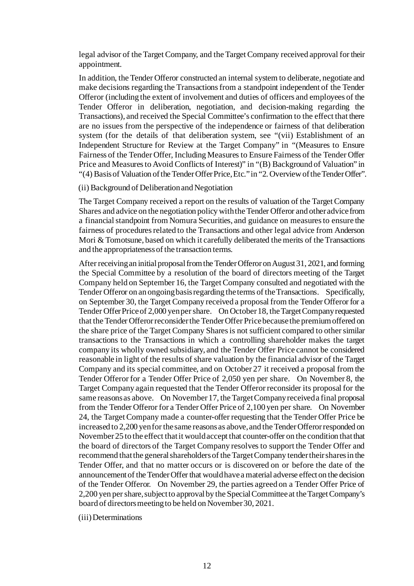legal advisor of the Target Company, and the Target Company received approval for their appointment.

In addition, the Tender Offeror constructed an internal system to deliberate, negotiate and make decisions regarding the Transactions from a standpoint independent of the Tender Offeror (including the extent of involvement and duties of officers and employees of the Tender Offeror in deliberation, negotiation, and decision-making regarding the Transactions), and received the Special Committee's confirmation to the effect that there are no issues from the perspective of the independence or fairness of that deliberation system (for the details of that deliberation system, see "(vii) Establishment of an Independent Structure for Review at the Target Company" in "(Measures to Ensure Fairness of the Tender Offer, Including Measures to Ensure Fairness of the Tender Offer Price and Measures to Avoid Conflicts of Interest)" in "(B) Background of Valuation" in "(4) Basis of Valuation of the Tender Offer Price, Etc."in "2. Overviewof the Tender Offer".

# (ii) Background of Deliberation and Negotiation

The Target Company received a report on the results of valuation of the Target Company Shares and advice on the negotiation policy with the Tender Offeror and other advice from a financial standpoint from Nomura Securities, and guidance on measures to ensure the fairness of procedures related to the Transactions and other legal advice from Anderson Mori & Tomotsune, based on which it carefully deliberated the merits of the Transactions and the appropriateness of the transaction terms.

After receiving an initial proposal from the Tender Offeror on August 31, 2021, and forming the Special Committee by a resolution of the board of directors meeting of the Target Company held on September 16, the Target Company consulted and negotiated with the Tender Offeror on an ongoing basis regarding the terms of the Transactions. Specifically, on September 30, the Target Company received a proposal from the Tender Offeror for a Tender Offer Price of 2,000 yen per share. On October 18, the Target Company requested that the Tender Offeror reconsider the Tender Offer Price because the premium offered on the share price of the Target Company Shares is not sufficient compared to other similar transactions to the Transactions in which a controlling shareholder makes the target company its wholly owned subsidiary, and the Tender Offer Price cannot be considered reasonable in light of the results of share valuation by the financial advisor of the Target Company and its special committee, and on October 27 it received a proposal from the Tender Offeror for a Tender Offer Price of 2,050 yen per share. On November 8, the Target Company again requested that the Tender Offeror reconsider its proposal for the same reasons as above. On November 17, the Target Company received a final proposal from the Tender Offeror for a Tender Offer Price of 2,100 yen per share. On November 24, the Target Company made a counter-offer requesting that the Tender Offer Price be increased to 2,200 yen for the same reasons as above, and the Tender Offeror responded on November 25 to the effect that it would accept that counter-offer on the condition that that the board of directors of the Target Company resolves to support the Tender Offer and recommend that the general shareholders of the Target Company tender their shares in the Tender Offer, and that no matter occurs or is discovered on or before the date of the announcement of the Tender Offer that would have a material adverse effect on the decision of the Tender Offeror. On November 29, the parties agreed on a Tender Offer Price of 2,200 yen per share, subject to approval by the Special Committee at the Target Company's board of directors meeting to be held on November 30, 2021.

(iii) Determinations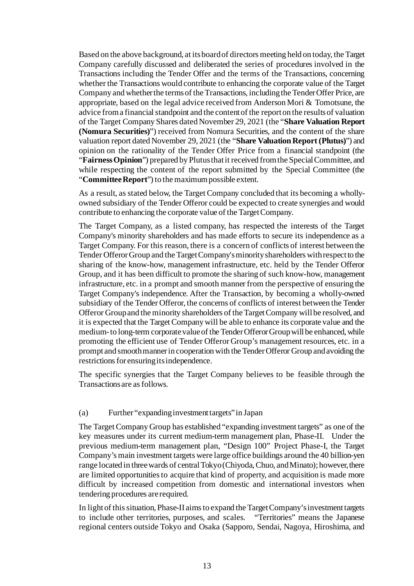Based on the above background, at its board of directors meeting held on today, the Target Company carefully discussed and deliberated the series of procedures involved in the Transactions including the Tender Offer and the terms of the Transactions, concerning whether the Transactions would contribute to enhancing the corporate value of the Target Company and whether the terms of the Transactions, including the Tender Offer Price, are appropriate, based on the legal advice received from Anderson Mori & Tomotsune, the advice from a financial standpoint and the content of the report on the results of valuation of the Target Company Shares dated November 29, 2021 (the "**Share Valuation Report (Nomura Securities)**") received from Nomura Securities, and the content of the share valuation report dated November 29, 2021 (the "**Share Valuation Report (Plutus)**") and opinion on the rationality of the Tender Offer Price from a financial standpoint (the "**Fairness Opinion**") prepared by Plutus that it received from the Special Committee, and while respecting the content of the report submitted by the Special Committee (the "**Committee Report**") to the maximum possible extent.

As a result, as stated below, the Target Company concluded that its becoming a whollyowned subsidiary of the Tender Offeror could be expected to create synergies and would contribute to enhancing the corporate value of the Target Company.

The Target Company, as a listed company, has respected the interests of the Target Company's minority shareholders and has made efforts to secure its independence as a Target Company. For this reason, there is a concern of conflicts of interest between the Tender Offeror Group and the Target Company's minority shareholders with respect to the sharing of the know-how, management infrastructure, etc. held by the Tender Offeror Group, and it has been difficult to promote the sharing of such know-how, management infrastructure, etc. in a prompt and smooth manner from the perspective of ensuring the Target Company's independence. After the Transaction, by becoming a wholly-owned subsidiary of the Tender Offeror, the concerns of conflicts of interest between the Tender Offeror Group and the minority shareholders of the Target Company will be resolved, and it is expected that the Target Company will be able to enhance its corporate value and the medium-to long-term corporate value of the Tender Offeror Group will be enhanced, while promoting the efficient use of Tender Offeror Group's management resources, etc. in a prompt and smooth manner in cooperation with the Tender Offeror Group and avoiding the restrictions for ensuring its independence.

The specific synergies that the Target Company believes to be feasible through the Transactions are as follows.

### (a) Further "expanding investment targets" in Japan

The Target Company Group has established "expanding investment targets" as one of the key measures under its current medium-term management plan, Phase-II. Under the previous medium-term management plan, "Design 100" Project Phase-I, the Target Company's main investment targets were large office buildings around the 40 billion-yen range located in three wards of centralTokyo (Chiyoda, Chuo, and Minato); however, there are limited opportunities to acquire that kind of property, and acquisition is made more difficult by increased competition from domestic and international investors when tendering procedures are required.

In light of this situation, Phase-II aims to expand the Target Company's investment targets to include other territories, purposes, and scales. "Territories" means the Japanese regional centers outside Tokyo and Osaka (Sapporo, Sendai, Nagoya, Hiroshima, and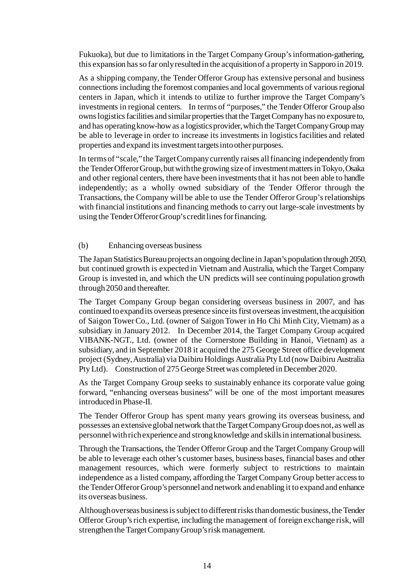Fukuoka), but due to limitations in the Target Company Group's information-gathering, this expansion has so far only resulted in the acquisition of a property in Sapporo in 2019.

As a shipping company, the Tender Offeror Group has extensive personal and business connections including the foremost companies and local governments of various regional centers in Japan, which it intends to utilize to further improve the Target Company's investments in regional centers. In terms of "purposes," the Tender Offeror Group also owns logistics facilities and similar properties that the Target Company has no exposure to, and has operating know-how as a logistics provider, which the Target Company Group may be able to leverage in order to increase its investments in logistics facilities and related properties and expand its investment targets into other purposes.

In terms of "scale," the Target Company currently raises all financing independently from the Tender Offeror Group, but with the growing size of investment matters in Tokyo, Osaka and other regional centers, there have been investments that it has not been able to handle independently; as a wholly owned subsidiary of the Tender Offeror through the Transactions, the Company will be able to use the Tender Offeror Group's relationships with financial institutions and financing methods to carry out large-scale investments by using the Tender Offeror Group's credit lines for financing.

# (b) Enhancing overseas business

The Japan Statistics Bureau projects an ongoing decline in Japan's population through 2050, but continued growth is expected in Vietnam and Australia, which the Target Company Group is invested in, and which the UN predicts will see continuing population growth through 2050 and thereafter.

The Target Company Group began considering overseas business in 2007, and has continued to expand its overseas presence since its first overseas investment, the acquisition of Saigon Tower Co., Ltd. (owner of Saigon Tower in Ho Chi Minh City, Vietnam) as a subsidiary in January 2012. In December 2014, the Target Company Group acquired VIBANK-NGT., Ltd. (owner of the Cornerstone Building in Hanoi, Vietnam) as a subsidiary, and in September 2018 it acquired the 275 George Street office development project (Sydney, Australia) via Daibiru Holdings Australia Pty Ltd (now Daibiru Australia Pty Ltd). Construction of 275 George Street was completed in December 2020.

As the Target Company Group seeks to sustainably enhance its corporate value going forward, "enhancing overseas business" will be one of the most important measures introduced in Phase-II.

The Tender Offeror Group has spent many years growing its overseas business, and possesses an extensive global network that the Target Company Group does not, as well as personnel with rich experience and strong knowledge and skills in international business.

Through the Transactions, the Tender Offeror Group and the Target Company Group will be able to leverage each other's customer bases, business bases, financial bases and other management resources, which were formerly subject to restrictions to maintain independence as a listed company, affording the Target Company Group better access to the Tender Offeror Group's personnel and network and enabling it to expand and enhance its overseas business.

Although overseas business is subject to different risks than domestic business, the Tender Offeror Group's rich expertise, including the management of foreign exchange risk, will strengthen the Target Company Group's risk management.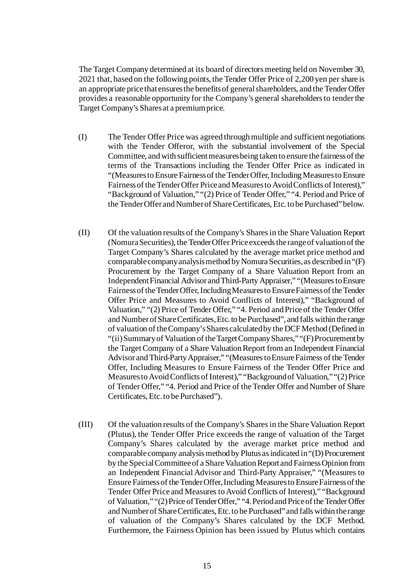The Target Company determined at its board of directors meeting held on November 30, 2021 that, based on the following points, the Tender Offer Price of 2,200 yen per share is an appropriate price that ensures the benefits of general shareholders, and the Tender Offer provides a reasonable opportunity for the Company's general shareholders to tender the Target Company's Shares at a premium price.

- (I) The Tender Offer Price was agreed through multiple and sufficient negotiations with the Tender Offeror, with the substantial involvement of the Special Committee, and with sufficient measures being taken to ensure the fairness of the terms of the Transactions including the Tender Offer Price as indicated in "(Measures to Ensure Fairness of the Tender Offer, Including Measures to Ensure Fairnessof the Tender Offer Price and Measures to Avoid Conflicts of Interest)," "Background of Valuation," "(2) Price of Tender Offer," "4. Period and Price of the Tender Offer and Number of Share Certificates, Etc. to be Purchased" below.
- (II) Of the valuation results of the Company's Shares in the Share Valuation Report (Nomura Securities), the Tender Offer Price exceeds the range of valuation of the Target Company's Shares calculated by the average market price method and comparable company analysis method by Nomura Securities, as described in "(F) Procurement by the Target Company of a Share Valuation Report from an Independent Financial Advisor and Third-Party Appraiser," "(Measures to Ensure Fairness of the Tender Offer, Including Measures to Ensure Fairnessof the Tender Offer Price and Measures to Avoid Conflicts of Interest)," "Background of Valuation," "(2) Price of Tender Offer," "4. Period and Price of the Tender Offer and Number of Share Certificates, Etc. to be Purchased", and falls within the range of valuation of the Company's Shares calculated by the DCF Method (Defined in "(ii)Summary of Valuation of the Target Company Shares," "(F) Procurementby the Target Company of a Share Valuation Report from an Independent Financial Advisor and Third-Party Appraiser," "(Measures to Ensure Fairness of the Tender Offer, Including Measures to Ensure Fairness of the Tender Offer Price and Measures to Avoid Conflicts of Interest)," "Background of Valuation," "(2) Price of Tender Offer," "4. Period and Price of the Tender Offer and Number of Share Certificates, Etc. to be Purchased").
- (III) Of the valuation results of the Company's Shares in the Share Valuation Report (Plutus), the Tender Offer Price exceeds the range of valuation of the Target Company's Shares calculated by the average market price method and comparable company analysis method by Plutus as indicated in "(D) Procurement by the Special Committee of a Share Valuation Report and Fairness Opinion from an Independent Financial Advisor and Third-Party Appraiser," "(Measures to Ensure Fairness of the Tender Offer, Including Measures to Ensure Fairnessof the Tender Offer Price and Measures to Avoid Conflicts of Interest)," "Background of Valuation," "(2) Price of Tender Offer," "4. Period and Price of the Tender Offer and Number of Share Certificates, Etc. to be Purchased" and falls within the range of valuation of the Company's Shares calculated by the DCF Method. Furthermore, the Fairness Opinion has been issued by Plutus which contains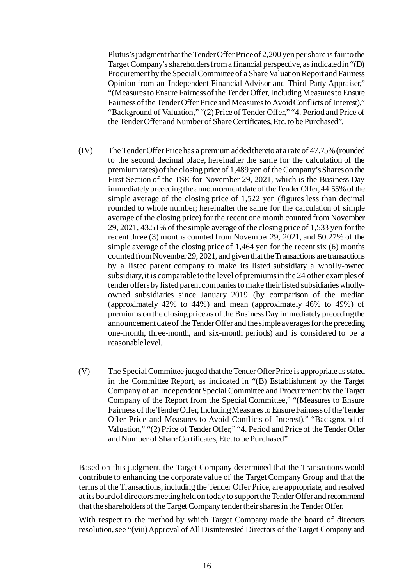Plutus's judgment that the Tender Offer Price of 2,200 yen per share is fair to the Target Company's shareholders from a financial perspective, as indicated in "(D) Procurement by the Special Committee of a Share Valuation Report and Fairness Opinion from an Independent Financial Advisor and Third-Party Appraiser," "(Measures to Ensure Fairness of the Tender Offer, Including Measures to Ensure Fairnessof the Tender Offer Price and Measures to Avoid Conflicts of Interest)," "Background of Valuation," "(2) Price of Tender Offer," "4. Period and Price of the Tender Offer and Number of Share Certificates, Etc. to be Purchased".

- (IV) The Tender Offer Price has a premium added thereto at a rate of 47.75% (rounded to the second decimal place, hereinafter the same for the calculation of the premium rates) of the closing price of 1,489 yen of the Company's Shares on the First Section of the TSE for November 29, 2021, which is the Business Day immediately preceding the announcement date of the Tender Offer, 44.55% of the simple average of the closing price of 1,522 yen (figures less than decimal rounded to whole number; hereinafter the same for the calculation of simple average of the closing price) for the recent one month counted from November 29, 2021, 43.51% of the simple average of the closing price of 1,533 yen for the recent three (3) months counted from November 29, 2021, and 50.27% of the simple average of the closing price of 1,464 yen for the recent six (6) months counted from November 29, 2021, and given that the Transactions are transactions by a listed parent company to make its listed subsidiary a wholly-owned subsidiary, it is comparable to the level of premiums in the 24 other examples of tender offers by listed parent companies to make their listed subsidiaries whollyowned subsidiaries since January 2019 (by comparison of the median (approximately 42% to 44%) and mean (approximately 46% to 49%) of premiums on the closing price as of the BusinessDay immediately preceding the announcement date of the Tender Offer and the simple averages for the preceding one-month, three-month, and six-month periods) and is considered to be a reasonable level.
- (V) The Special Committee judged that the Tender Offer Price is appropriate as stated in the Committee Report, as indicated in "(B) Establishment by the Target Company of an Independent Special Committee and Procurement by the Target Company of the Report from the Special Committee," "(Measures to Ensure Fairness of the Tender Offer, Including Measures to Ensure Fairnessof the Tender Offer Price and Measures to Avoid Conflicts of Interest)," "Background of Valuation," "(2) Price of Tender Offer," "4. Period and Price of the Tender Offer and Number of Share Certificates, Etc. to be Purchased"

Based on this judgment, the Target Company determined that the Transactions would contribute to enhancing the corporate value of the Target Company Group and that the terms of the Transactions, including the Tender Offer Price, are appropriate, and resolved at its board of directors meeting held on today to support the Tender Offer and recommend that the shareholders of the Target Company tender their shares in the Tender Offer.

With respect to the method by which Target Company made the board of directors resolution, see "(viii) Approval of All Disinterested Directors of the Target Company and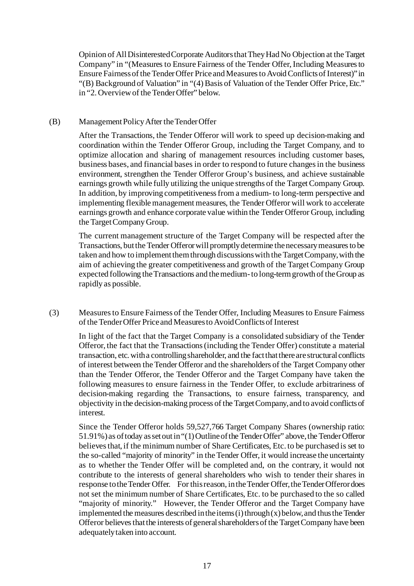Opinion of All Disinterested Corporate Auditorsthat They Had No Objection at the Target Company" in "(Measures to Ensure Fairness of the Tender Offer, Including Measures to Ensure Fairnessof the Tender Offer Price and Measures to Avoid Conflicts of Interest)" in "(B) Background of Valuation" in "(4) Basis of Valuation of the Tender Offer Price, Etc." in "2. Overviewof the Tender Offer" below.

# (B) Management Policy After the Tender Offer

After the Transactions, the Tender Offeror will work to speed up decision-making and coordination within the Tender Offeror Group, including the Target Company, and to optimize allocation and sharing of management resources including customer bases, business bases, and financial bases in order to respond to future changes in the business environment, strengthen the Tender Offeror Group's business, and achieve sustainable earnings growth while fully utilizing the unique strengths of the Target Company Group. In addition, by improving competitiveness from a medium- to long-term perspective and implementing flexible management measures, the Tender Offeror will work to accelerate earnings growth and enhance corporate value within the Tender Offeror Group, including the Target Company Group.

The current management structure of the Target Company will be respected after the Transactions, but the Tender Offeror will promptly determine the necessary measures to be taken and how to implement them through discussions with the Target Company, with the aim of achieving the greater competitiveness and growth of the Target Company Group expected following the Transactions and the medium-to long-term growth of the Group as rapidly as possible.

(3) Measures to Ensure Fairness of the Tender Offer, Including Measures to Ensure Fairness of the Tender Offer Price and Measures to Avoid Conflicts of Interest

In light of the fact that the Target Company is a consolidated subsidiary of the Tender Offeror, the fact that the Transactions (including the Tender Offer) constitute a material transaction, etc. with a controlling shareholder, and the fact that there are structural conflicts of interest between the Tender Offeror and the shareholders of the Target Company other than the Tender Offeror, the Tender Offeror and the Target Company have taken the following measures to ensure fairness in the Tender Offer, to exclude arbitrariness of decision-making regarding the Transactions, to ensure fairness, transparency, and objectivity in the decision-making process of the Target Company, and to avoid conflicts of interest.

Since the Tender Offeror holds 59,527,766 Target Company Shares (ownership ratio: 51.91%) as of today as set out in "(1) Outline of the Tender Offer" above, the Tender Offeror believes that, if the minimum number of Share Certificates, Etc. to be purchased is set to the so-called "majority of minority" in the Tender Offer, it would increase the uncertainty as to whether the Tender Offer will be completed and, on the contrary, it would not contribute to the interests of general shareholders who wish to tender their shares in response to the Tender Offer. For this reason, in the Tender Offer, the Tender Offeror does not set the minimum number of Share Certificates, Etc. to be purchased to the so called "majority of minority." However, the Tender Offeror and the Target Company have implemented the measures described in the items  $(i)$  through  $(x)$  below, and thus the Tender Offeror believes that the interests of general shareholders of the Target Company have been adequately taken into account.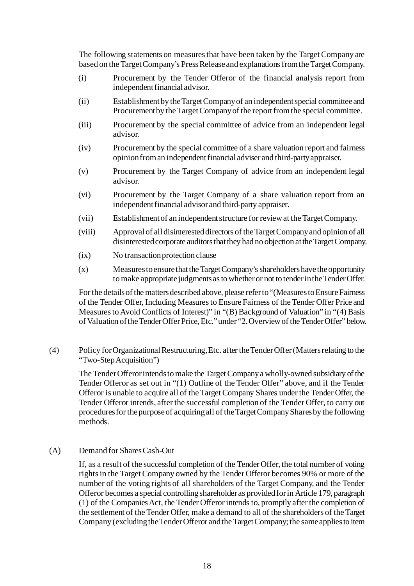The following statements on measures that have been taken by the Target Company are based on the Target Company's Press Release and explanations from the Target Company.

- (i) Procurement by the Tender Offeror of the financial analysis report from independent financial advisor.
- (ii) Establishment by the Target Company of an independent special committee and Procurement by the Target Company of the report from the special committee.
- (iii) Procurement by the special committee of advice from an independent legal advisor.
- (iv) Procurement by the special committee of a share valuation report and fairness opinion from an independent financial adviser and third-party appraiser.
- (v) Procurement by the Target Company of advice from an independent legal advisor.
- (vi) Procurement by the Target Company of a share valuation report from an independent financial advisor and third-party appraiser.
- (vii) Establishment of an independent structure for review at the Target Company.
- (viii) Approval of all disinterested directors of the Target Company and opinion of all disinterested corporate auditors that they had no objection at the Target Company.
- (ix) No transaction protection clause
- (x) Measures to ensure that the Target Company's shareholders have the opportunity to make appropriate judgments as to whether or not to tender in the Tender Offer.

For the details of the matters described above, please refer to "(Measures to EnsureFairness of the Tender Offer, Including Measures to Ensure Fairness of the Tender Offer Price and Measures to Avoid Conflicts of Interest)" in "(B) Background of Valuation" in "(4) Basis of Valuation of the Tender Offer Price, Etc."under "2.Overviewof the Tender Offer" below.

(4) Policy for Organizational Restructuring, Etc. after the Tender Offer (Matters relating to the "Two-Step Acquisition")

The Tender Offeror intends to make the Target Company a wholly-owned subsidiary of the Tender Offeror as set out in "(1) Outline of the Tender Offer" above, and if the Tender Offeror is unable to acquire all of the Target Company Shares under the Tender Offer, the Tender Offeror intends, after the successful completion of the Tender Offer, to carry out procedures for the purpose of acquiring all of the Target Company Shares by the following methods.

### (A) Demand for Shares Cash-Out

If, as a result of the successful completion of the Tender Offer, the total number of voting rights in the Target Company owned by the Tender Offeror becomes 90% or more of the number of the voting rights of all shareholders of the Target Company, and the Tender Offeror becomes a special controlling shareholder as provided for in Article 179, paragraph (1) of the Companies Act, the Tender Offeror intends to, promptly after the completion of the settlement of the Tender Offer, make a demand to all of the shareholders of the Target Company (excluding the Tender Offeror and the Target Company; the same applies to item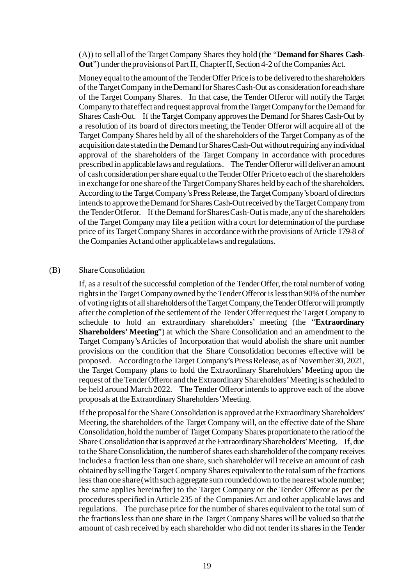(A)) to sell all of the Target Company Shares they hold (the "**Demand for Shares Cash-Out**") under the provisions of Part II, Chapter II, Section 4-2 of the Companies Act.

Money equal to the amount of the Tender Offer Price is to be delivered to the shareholders of the Target Company in the Demand for Shares Cash-Out as consideration for each share of the Target Company Shares. In that case, the Tender Offeror will notify the Target Company to that effect and request approval from the Target Company for the Demand for Shares Cash-Out. If the Target Company approves the Demand for Shares Cash-Out by a resolution of its board of directors meeting, the Tender Offeror will acquire all of the Target Company Shares held by all of the shareholders of the Target Company as of the acquisition date stated in the Demand for Shares Cash-Out without requiring any individual approval of the shareholders of the Target Company in accordance with procedures prescribed in applicable laws and regulations. The Tender Offeror will deliver an amount of cash consideration per share equal to the Tender Offer Price to each of the shareholders in exchange for one share of the Target Company Shares held by each of the shareholders. According to the Target Company's Press Release, the Target Company's board of directors intends to approve the Demand for Shares Cash-Out received by the Target Company from the Tender Offeror. If the Demand for Shares Cash-Out is made, any of the shareholders of the Target Company may file a petition with a court for determination of the purchase price of its Target Company Shares in accordance with the provisions of Article 179-8 of the Companies Act and other applicable laws and regulations.

### (B) Share Consolidation

If, as a result of the successful completion of the Tender Offer, the total number of voting rights in the Target Company owned by the Tender Offeror is less than 90% of the number of voting rights of all shareholders of the Target Company, the Tender Offeror will promptly after the completion of the settlement of the Tender Offer request the Target Company to schedule to hold an extraordinary shareholders' meeting (the "**Extraordinary Shareholders' Meeting**") at which the Share Consolidation and an amendment to the Target Company's Articles of Incorporation that would abolish the share unit number provisions on the condition that the Share Consolidation becomes effective will be proposed. According to the Target Company's Press Release, as of November 30, 2021, the Target Company plans to hold the Extraordinary Shareholders' Meeting upon the request of the Tender Offeror and the Extraordinary Shareholders' Meeting is scheduled to be held around March 2022. The Tender Offeror intends to approve each of the above proposals at the Extraordinary Shareholders' Meeting.

If the proposal for the Share Consolidation is approved at the Extraordinary Shareholders' Meeting, the shareholders of the Target Company will, on the effective date of the Share Consolidation, hold the number of Target Company Shares proportionate to the ratio of the Share Consolidation that is approved at the Extraordinary Shareholders' Meeting. If, due to the Share Consolidation, the number of shares each shareholder of the company receives includes a fraction less than one share, such shareholder will receive an amount of cash obtained by selling the Target Company Shares equivalent to the total sum of the fractions less than one share (with such aggregate sum rounded down to the nearest whole number; the same applies hereinafter) to the Target Company or the Tender Offeror as per the procedures specified in Article 235 of the Companies Act and other applicable laws and regulations. The purchase price for the number of shares equivalent to the total sum of the fractions less than one share in the Target Company Shares will be valued so that the amount of cash received by each shareholder who did not tender its shares in the Tender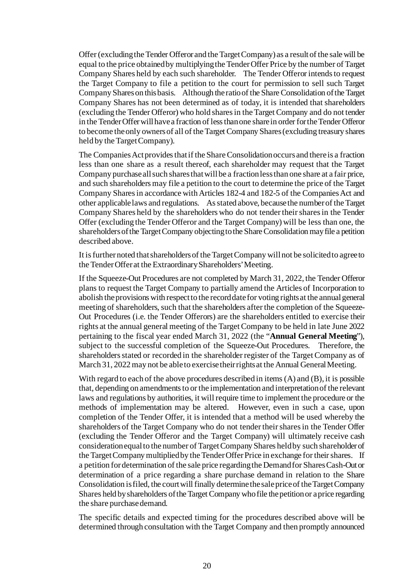Offer (excluding the Tender Offeror and the Target Company) as a result of the sale will be equal to the price obtained by multiplying the TenderOffer Price by the number of Target Company Shares held by each such shareholder. The Tender Offeror intends to request the Target Company to file a petition to the court for permission to sell such Target Company Shares on this basis. Although the ratio of the Share Consolidation of the Target Company Shares has not been determined as of today, it is intended that shareholders (excluding the Tender Offeror) who hold shares in the Target Company and do not tender in the Tender Offer will have a fraction of less than one share in order for the Tender Offeror to become the only owners of all of the Target Company Shares (excluding treasury shares held by the Target Company).

The Companies Act provides thatif the Share Consolidation occurs and there is a fraction less than one share as a result thereof, each shareholder may request that the Target Company purchase all such shares that will be a fraction less than one share at a fair price, and such shareholders may file a petition to the court to determine the price of the Target Company Shares in accordance with Articles 182-4 and 182-5 of the Companies Act and other applicable laws and regulations. As stated above, because the number of the Target Company Shares held by the shareholders who do not tender their shares in the Tender Offer (excluding the Tender Offeror and the Target Company) will be less than one, the shareholders of the Target Company objecting to the Share Consolidation may file a petition described above.

It is further noted that shareholders of the Target Company will not be solicited to agree to the Tender Offer at the Extraordinary Shareholders' Meeting.

If the Squeeze-Out Procedures are not completed by March 31, 2022, the Tender Offeror plans to request the Target Company to partially amend the Articles of Incorporation to abolish the provisions with respect to the record date for voting rights at the annual general meeting of shareholders, such that the shareholders after the completion of the Squeeze-Out Procedures (i.e. the Tender Offerors) are the shareholders entitled to exercise their rights at the annual general meeting of the Target Company to be held in late June 2022 pertaining to the fiscal year ended March 31, 2022 (the "**Annual General Meeting**"), subject to the successful completion of the Squeeze-Out Procedures. Therefore, the shareholders stated or recorded in the shareholder register of the Target Company as of March 31, 2022 may not be able to exercise their rights at the Annual General Meeting.

With regard to each of the above procedures described in items (A) and (B), it is possible that, depending on amendments to or the implementation and interpretation of the relevant laws and regulations by authorities, it will require time to implement the procedure or the methods of implementation may be altered. However, even in such a case, upon completion of the Tender Offer, it is intended that a method will be used whereby the shareholders of the Target Company who do not tender their shares in the Tender Offer (excluding the Tender Offeror and the Target Company) will ultimately receive cash consideration equal to the number of Target Company Shares held by such shareholder of the Target Company multiplied by the Tender Offer Price in exchange for their shares. If a petition for determination of the sale price regarding the Demand for Shares Cash-Out or determination of a price regarding a share purchase demand in relation to the Share Consolidation is filed, the court will finally determine the sale price of the Target Company Shares held by shareholders of the Target Company who file the petition or a price regarding the share purchase demand.

The specific details and expected timing for the procedures described above will be determined through consultation with the Target Company and then promptly announced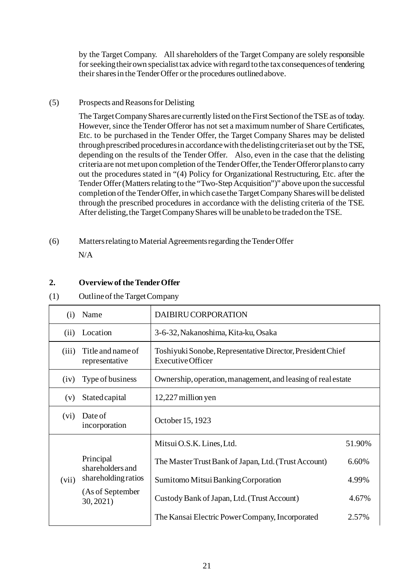by the Target Company. All shareholders of the Target Company are solely responsible for seeking theirown specialist tax advice with regard to the tax consequences of tendering their shares in the Tender Offer or the procedures outlined above.

# (5) Prospects and Reasons for Delisting

The Target Company Shares are currently listed on the First Section of the TSE as of today. However, since the Tender Offeror has not set a maximum number of Share Certificates, Etc. to be purchased in the Tender Offer, the Target Company Shares may be delisted through prescribed procedures in accordance with the delisting criteria set out by the TSE, depending on the results of the Tender Offer. Also, even in the case that the delisting criteria are not met upon completion of the Tender Offer, the Tender Offeror plans to carry out the procedures stated in "(4) Policy for Organizational Restructuring, Etc. after the Tender Offer (Matters relating to the "Two-Step Acquisition")" above upon the successful completion of the Tender Offer, in which case the Target Company Shares will be delisted through the prescribed procedures in accordance with the delisting criteria of the TSE. After delisting, the Target Company Shares will be unable to be traded on the TSE.

(6) Matters relating to MaterialAgreements regarding the Tender Offer N/A

# **2. Overview of the Tender Offer**

# (1) Outline of the Target Company

| (i)   | Name                                | DAIBIRU CORPORATION                                                                    |        |  |
|-------|-------------------------------------|----------------------------------------------------------------------------------------|--------|--|
| (ii)  | Location                            | 3-6-32, Nakanoshima, Kita-ku, Osaka                                                    |        |  |
| (iii) | Title and name of<br>representative | Toshiyuki Sonobe, Representative Director, President Chief<br><b>Executive Officer</b> |        |  |
| (iv)  | Type of business                    | Ownership, operation, management, and leasing of real estate                           |        |  |
| (v)   | <b>Stated capital</b>               | 12,227 million yen                                                                     |        |  |
| (vi)  | Date of<br>incorporation            | October 15, 1923                                                                       |        |  |
|       |                                     | Mitsui O.S.K. Lines, Ltd.                                                              | 51.90% |  |
|       | Principal<br>shareholders and       | The Master Trust Bank of Japan, Ltd. (Trust Account)                                   | 6.60%  |  |
| (vii) | shareholding ratios                 | Sumitomo Mitsui Banking Corporation                                                    | 4.99%  |  |
|       | (As of September<br>30,2021         | Custody Bank of Japan, Ltd. (Trust Account)                                            | 4.67%  |  |
|       |                                     | The Kansai Electric Power Company, Incorporated                                        | 2.57%  |  |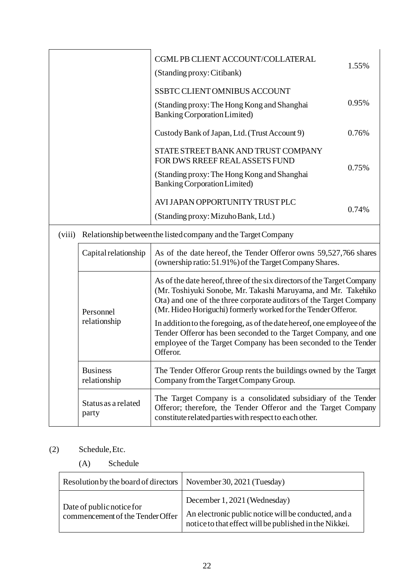|              |                                 | CGML PB CLIENT ACCOUNT/COLLATERAL<br>(Standing proxy: Citibank)                                                                                                                                                                                                                 | 1.55% |
|--------------|---------------------------------|---------------------------------------------------------------------------------------------------------------------------------------------------------------------------------------------------------------------------------------------------------------------------------|-------|
|              |                                 | <b>SSBTC CLIENT OMNIBUS ACCOUNT</b><br>(Standing proxy: The Hong Kong and Shanghai)<br><b>Banking Corporation Limited)</b>                                                                                                                                                      | 0.95% |
|              |                                 | Custody Bank of Japan, Ltd. (Trust Account 9)                                                                                                                                                                                                                                   | 0.76% |
|              |                                 | STATE STREET BANK AND TRUST COMPANY<br>FOR DWS RREEF REAL ASSETS FUND                                                                                                                                                                                                           | 0.75% |
|              |                                 | (Standing proxy: The Hong Kong and Shanghai)<br><b>Banking Corporation Limited)</b>                                                                                                                                                                                             |       |
|              |                                 | AVI JAPAN OPPORTUNITY TRUST PLC                                                                                                                                                                                                                                                 | 0.74% |
|              |                                 | (Standing proxy: Mizuho Bank, Ltd.)                                                                                                                                                                                                                                             |       |
| (viii)       |                                 | Relationship between the listed company and the Target Company                                                                                                                                                                                                                  |       |
|              | Capital relationship            | As of the date hereof, the Tender Offeror owns 59,527,766 shares<br>(ownership ratio: 51.91%) of the Target Company Shares.                                                                                                                                                     |       |
|              | Personnel                       | As of the date hereof, three of the six directors of the Target Company<br>(Mr. Toshiyuki Sonobe, Mr. Takashi Maruyama, and Mr. Takehiko<br>Ota) and one of the three corporate auditors of the Target Company<br>(Mr. Hideo Horiguchi) formerly worked for the Tender Offeror. |       |
| relationship |                                 | In addition to the foregoing, as of the date hereof, one employee of the<br>Tender Offeror has been seconded to the Target Company, and one<br>employee of the Target Company has been seconded to the Tender<br>Offeror.                                                       |       |
|              | <b>Business</b><br>relationship | The Tender Offeror Group rents the buildings owned by the Target<br>Company from the Target Company Group.                                                                                                                                                                      |       |
|              | Status as a related<br>party    | The Target Company is a consolidated subsidiary of the Tender<br>Offeror; therefore, the Tender Offeror and the Target Company<br>constitute related parties with respect to each other.                                                                                        |       |

# (2) Schedule, Etc.

(A) Schedule

| Resolution by the board of directors   November 30, 2021 (Tuesday) |                                                                                                                                                |
|--------------------------------------------------------------------|------------------------------------------------------------------------------------------------------------------------------------------------|
| Date of public notice for<br>commencement of the Tender Offer      | December 1, 2021 (Wednesday)<br>An electronic public notice will be conducted, and a<br>notice to that effect will be published in the Nikkei. |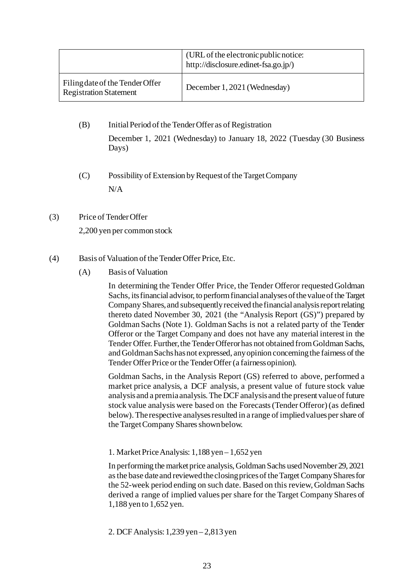|                                                                  | (URL of the electronic public notice:<br>http://disclosure.edinet-fsa.go.jp/) |
|------------------------------------------------------------------|-------------------------------------------------------------------------------|
| Filing date of the Tender Offer<br><b>Registration Statement</b> | December 1, 2021 (Wednesday)                                                  |

- (B) Initial Period of the Tender Offer as of Registration December 1, 2021 (Wednesday) to January 18, 2022 (Tuesday (30 Business Days)
	- (C) Possibility of Extension by Request of the Target Company N/A

# (3) Price of Tender Offer

2,200 yen per common stock

# (4) Basis of Valuation of the Tender Offer Price, Etc.

(A) Basis of Valuation

In determining the Tender Offer Price, the Tender Offeror requested Goldman Sachs, its financial advisor, to perform financial analyses of the value of the Target Company Shares, and subsequently received the financial analysis report relating thereto dated November 30, 2021 (the "Analysis Report (GS)") prepared by Goldman Sachs (Note 1). Goldman Sachs is not a related party of the Tender Offeror or the Target Company and does not have any material interest in the Tender Offer. Further, the Tender Offeror has not obtained from Goldman Sachs, and Goldman Sachs has not expressed, any opinion concerning the fairness of the Tender Offer Price or the Tender Offer (a fairness opinion).

Goldman Sachs, in the Analysis Report (GS) referred to above, performed a market price analysis, a DCF analysis, a present value of future stock value analysis and a premia analysis. The DCF analysis and the present value of future stock value analysis were based on the Forecasts (Tender Offeror) (as defined below). The respective analyses resulted in a range of implied values per share of the Target Company Shares shown below.

### 1. Market Price Analysis: 1,188 yen – 1,652 yen

In performing the market price analysis, Goldman Sachs used November 29, 2021 as the base date and reviewed the closing prices of the Target Company Shares for the 52-week period ending on such date. Based on this review, Goldman Sachs derived a range of implied values per share for the Target Company Shares of 1,188 yen to 1,652 yen.

2. DCF Analysis: 1,239 yen – 2,813 yen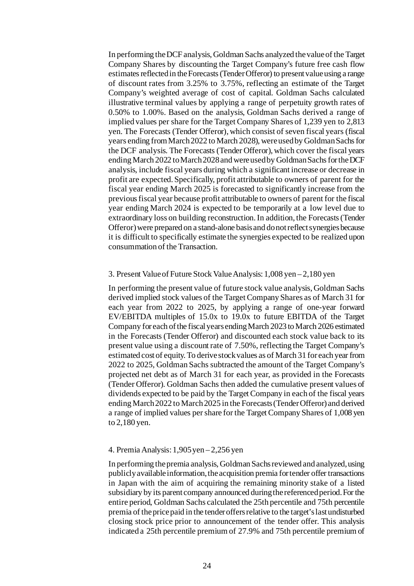In performing the DCF analysis, Goldman Sachs analyzed the value of the Target Company Shares by discounting the Target Company's future free cash flow estimates reflected in the Forecasts (Tender Offeror) to present value using a range of discount rates from 3.25% to 3.75%, reflecting an estimate of the Target Company's weighted average of cost of capital. Goldman Sachs calculated illustrative terminal values by applying a range of perpetuity growth rates of 0.50% to 1.00%. Based on the analysis, Goldman Sachs derived a range of implied values per share for the Target Company Shares of 1,239 yen to 2,813 yen. The Forecasts (Tender Offeror), which consist of seven fiscal years (fiscal years ending from March 2022 to March 2028), were used by Goldman Sachs for the DCF analysis. The Forecasts (Tender Offeror), which cover the fiscal years ending March 2022 to March 2028 and were used by Goldman Sachs for the DCF analysis, include fiscal years during which a significant increase or decrease in profit are expected. Specifically, profit attributable to owners of parent for the fiscal year ending March 2025 is forecasted to significantly increase from the previous fiscal year because profit attributable to owners of parent for the fiscal year ending March 2024 is expected to be temporarily at a low level due to extraordinary loss on building reconstruction. In addition, the Forecasts (Tender Offeror) were prepared on a stand-alone basis and do not reflect synergies because it is difficult to specifically estimate the synergies expected to be realized upon consummation of the Transaction.

#### 3. Present Value of Future Stock Value Analysis: 1,008 yen – 2,180 yen

In performing the present value of future stock value analysis, Goldman Sachs derived implied stock values of the Target Company Shares as of March 31 for each year from 2022 to 2025, by applying a range of one-year forward EV/EBITDA multiples of 15.0x to 19.0x to future EBITDA of the Target Company for each of the fiscal years ending March 2023 to March 2026 estimated in the Forecasts (Tender Offeror) and discounted each stock value back to its present value using a discount rate of 7.50%, reflecting the Target Company's estimated cost of equity. To derive stock values as of March 31 for each year from 2022 to 2025, Goldman Sachs subtracted the amount of the Target Company's projected net debt as of March 31 for each year, as provided in the Forecasts (Tender Offeror). Goldman Sachs then added the cumulative present values of dividends expected to be paid by the Target Company in each of the fiscal years ending March 2022 to March 2025 in the Forecasts (Tender Offeror) and derived a range of implied values per share for the Target Company Shares of 1,008 yen to 2,180 yen.

#### 4. Premia Analysis: 1,905 yen – 2,256 yen

In performing the premia analysis, Goldman Sachs reviewed and analyzed, using publicly available information, the acquisition premia for tender offer transactions in Japan with the aim of acquiring the remaining minority stake of a listed subsidiary by its parent company announced during the referenced period. For the entire period, Goldman Sachs calculated the 25th percentile and 75th percentile premia of the price paid in the tender offers relative to the target's last undisturbed closing stock price prior to announcement of the tender offer. This analysis indicated a 25th percentile premium of 27.9% and 75th percentile premium of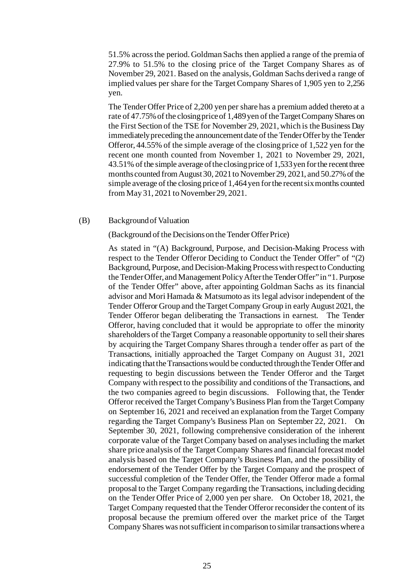51.5% across the period. Goldman Sachs then applied a range of the premia of 27.9% to 51.5% to the closing price of the Target Company Shares as of November 29, 2021. Based on the analysis, Goldman Sachs derived a range of implied values per share for the Target Company Shares of 1,905 yen to 2,256 yen.

The Tender Offer Price of 2,200 yen per share has a premium added thereto at a rate of 47.75% of the closing price of 1,489yen of the Target Company Shares on the First Section of the TSE for November 29, 2021, which is the Business Day immediately preceding the announcement date of the Tender Offerby the Tender Offeror, 44.55% of the simple average of the closing price of 1,522 yen for the recent one month counted from November 1, 2021 to November 29, 2021, 43.51% of the simple average of the closing price of 1,533yen for the recent three months counted from August 30, 2021 to November 29, 2021, and 50.27% of the simple average of the closing price of 1,464yen for the recent six months counted from May 31, 2021 to November 29, 2021.

#### (B) Background of Valuation

#### (Background of the Decisions on the Tender Offer Price)

As stated in "(A) Background, Purpose, and Decision-Making Process with respect to the Tender Offeror Deciding to Conduct the Tender Offer" of "(2) Background, Purpose, and Decision-Making Process with respect to Conducting the Tender Offer, and Management Policy After the Tender Offer" in "1. Purpose of the Tender Offer" above, after appointing Goldman Sachs as its financial advisor and Mori Hamada & Matsumoto as its legal advisor independent of the Tender Offeror Group and the Target Company Group in early August 2021, the Tender Offeror began deliberating the Transactions in earnest. The Tender Offeror, having concluded that it would be appropriate to offer the minority shareholders of the Target Company a reasonable opportunity to sell their shares by acquiring the Target Company Shares through a tender offer as part of the Transactions, initially approached the Target Company on August 31, 2021 indicating that the Transactions would be conducted through the Tender Offer and requesting to begin discussions between the Tender Offeror and the Target Company with respect to the possibility and conditions of the Transactions, and the two companies agreed to begin discussions. Following that, the Tender Offeror received the Target Company's Business Plan from the Target Company on September 16, 2021 and received an explanation from the Target Company regarding the Target Company's Business Plan on September 22, 2021. On September 30, 2021, following comprehensive consideration of the inherent corporate value of the Target Company based on analyses including the market share price analysis of the Target Company Shares and financial forecast model analysis based on the Target Company's Business Plan, and the possibility of endorsement of the Tender Offer by the Target Company and the prospect of successful completion of the Tender Offer, the Tender Offeror made a formal proposal to the Target Company regarding the Transactions, including deciding on the Tender Offer Price of 2,000 yen per share. On October 18, 2021, the Target Company requested that the Tender Offeror reconsider the content of its proposal because the premium offered over the market price of the Target Company Shares was not sufficient in comparison to similar transactions where a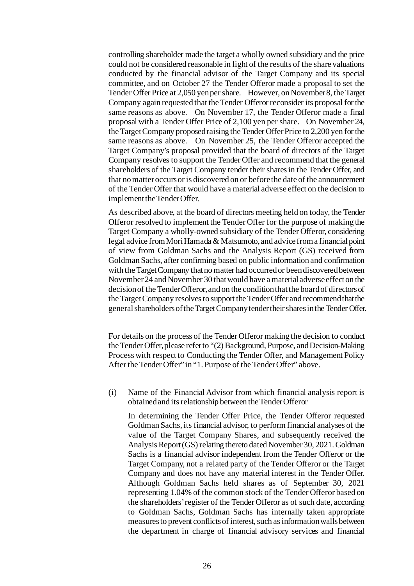controlling shareholder made the target a wholly owned subsidiary and the price could not be considered reasonable in light of the results of the share valuations conducted by the financial advisor of the Target Company and its special committee, and on October 27 the Tender Offeror made a proposal to set the Tender Offer Price at 2,050 yen per share. However, on November 8, the Target Company again requested that the Tender Offeror reconsider its proposal for the same reasons as above. On November 17, the Tender Offeror made a final proposal with a Tender Offer Price of 2,100 yen per share. On November 24, the Target Company proposed raising the Tender Offer Price to 2,200 yen for the same reasons as above. On November 25, the Tender Offeror accepted the Target Company's proposal provided that the board of directors of the Target Company resolves to support the Tender Offer and recommend that the general shareholders of the Target Company tender their shares in the Tender Offer, and that no matter occurs or is discovered on or before the date of the announcement of the Tender Offer that would have a material adverse effect on the decision to implement the Tender Offer.

As described above, at the board of directors meeting held on today, the Tender Offeror resolved to implement the Tender Offer for the purpose of making the Target Company a wholly-owned subsidiary of the Tender Offeror, considering legal advice from Mori Hamada & Matsumoto, and advice from a financial point of view from Goldman Sachs and the Analysis Report (GS) received from Goldman Sachs, after confirming based on public information and confirmation with the Target Company that no matter had occurred or been discovered between November 24 and November 30 that would have a material adverse effect on the decision of the Tender Offeror, and on the condition that the board of directors of the Target Company resolves to support the Tender Offer and recommend that the general shareholders of the Target Company tender their shares in the Tender Offer.

For details on the process of the Tender Offeror making the decision to conduct the Tender Offer, please refer to "(2) Background, Purpose, and Decision-Making Process with respect to Conducting the Tender Offer, and Management Policy After the Tender Offer" in "1. Purpose of the Tender Offer" above.

(i) Name of the Financial Advisor from which financial analysis report is obtained and its relationship between the Tender Offeror

In determining the Tender Offer Price, the Tender Offeror requested Goldman Sachs, its financial advisor, to perform financial analyses of the value of the Target Company Shares, and subsequently received the Analysis Report (GS) relating thereto dated November 30, 2021. Goldman Sachs is a financial advisor independent from the Tender Offeror or the Target Company, not a related party of the Tender Offeror or the Target Company and does not have any material interest in the Tender Offer. Although Goldman Sachs held shares as of September 30, 2021 representing 1.04% of the common stock of the Tender Offeror based on the shareholders' register of the Tender Offeror as of such date, according to Goldman Sachs, Goldman Sachs has internally taken appropriate measures to prevent conflicts of interest, such as information walls between the department in charge of financial advisory services and financial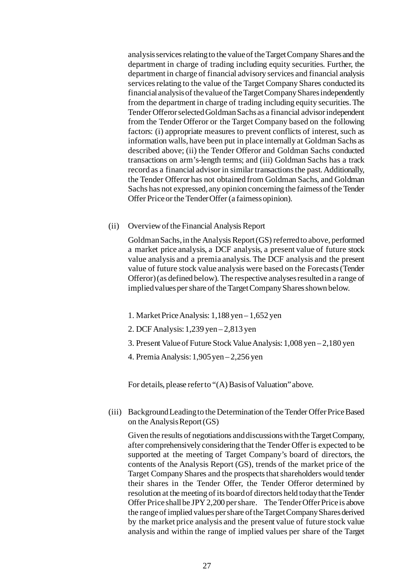analysis services relating to the value of the Target Company Shares and the department in charge of trading including equity securities. Further, the department in charge of financial advisory services and financial analysis services relating to the value of the Target Company Shares conducted its financial analysis of the value of the Target Company Shares independently from the department in charge of trading including equity securities. The Tender Offeror selected Goldman Sachs as a financial advisor independent from the Tender Offeror or the Target Company based on the following factors: (i) appropriate measures to prevent conflicts of interest, such as information walls, have been put in place internally at Goldman Sachs as described above; (ii) the Tender Offeror and Goldman Sachs conducted transactions on arm's-length terms; and (iii) Goldman Sachs has a track record as a financial advisor in similar transactions the past. Additionally, the Tender Offeror has not obtained from Goldman Sachs, and Goldman Sachs has not expressed, any opinion concerning the fairness of the Tender Offer Price or the Tender Offer (a fairness opinion).

(ii) Overview of the Financial Analysis Report

Goldman Sachs, in the Analysis Report (GS) referred to above, performed a market price analysis, a DCF analysis, a present value of future stock value analysis and a premia analysis. The DCF analysis and the present value of future stock value analysis were based on the Forecasts (Tender Offeror) (as defined below). The respective analyses resulted in a range of implied values per share of the Target Company Shares shown below.

- 1. Market Price Analysis: 1,188 yen 1,652 yen
- 2. DCF Analysis: 1,239 yen 2,813 yen
- 3. Present Value of Future Stock Value Analysis: 1,008 yen 2,180 yen
- 4. Premia Analysis: 1,905 yen 2,256 yen

For details, please refer to "(A) Basis of Valuation" above.

(iii) Background Leading to the Determination of the Tender Offer Price Based on the Analysis Report  $(GS)$ 

Given the results of negotiations and discussions with the Target Company, after comprehensively considering that the Tender Offer is expected to be supported at the meeting of Target Company's board of directors, the contents of the Analysis Report (GS), trends of the market price of the Target Company Shares and the prospects that shareholders would tender their shares in the Tender Offer, the Tender Offeror determined by resolution at the meeting of its board of directors held today that the Tender Offer Price shall be JPY 2,200 per share. The Tender Offer Price is above the range of implied values per share of the Target Company Shares derived by the market price analysis and the present value of future stock value analysis and within the range of implied values per share of the Target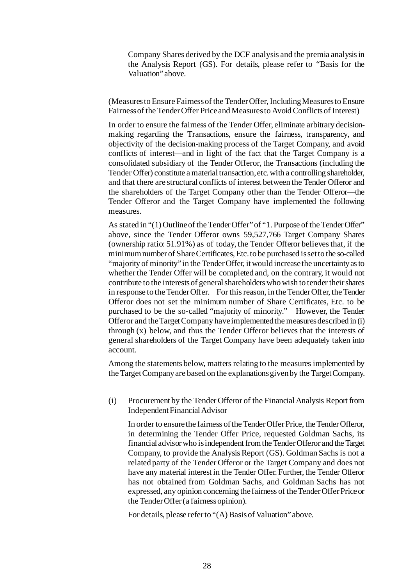Company Shares derived by the DCF analysis and the premia analysis in the Analysis Report (GS). For details, please refer to "Basis for the Valuation" above.

(Measures to Ensure Fairness of the Tender Offer, Including Measures to Ensure Fairness of the Tender Offer Price and Measures to Avoid Conflicts of Interest)

In order to ensure the fairness of the Tender Offer, eliminate arbitrary decisionmaking regarding the Transactions, ensure the fairness, transparency, and objectivity of the decision-making process of the Target Company, and avoid conflicts of interest—and in light of the fact that the Target Company is a consolidated subsidiary of the Tender Offeror, the Transactions (including the Tender Offer) constitute a material transaction, etc. with a controlling shareholder, and that there are structural conflicts of interest between the Tender Offeror and the shareholders of the Target Company other than the Tender Offeror—the Tender Offeror and the Target Company have implemented the following measures.

As stated in "(1) Outline of the Tender Offer" of "1. Purpose of the Tender Offer" above, since the Tender Offeror owns 59,527,766 Target Company Shares (ownership ratio: 51.91%) as of today, the Tender Offeror believes that, if the minimum number of Share Certificates, Etc. to be purchased is set to the so-called "majority of minority" in the Tender Offer, it would increase the uncertainty as to whether the Tender Offer will be completed and, on the contrary, it would not contribute to the interests of general shareholders who wish to tender their shares in response to the Tender Offer. For this reason, in the Tender Offer, the Tender Offeror does not set the minimum number of Share Certificates, Etc. to be purchased to be the so-called "majority of minority." However, the Tender Offeror and the Target Company have implemented the measures described in (i) through (x) below, and thus the Tender Offeror believes that the interests of general shareholders of the Target Company have been adequately taken into account.

Among the statements below, matters relating to the measures implemented by the Target Company are based on the explanations given by the Target Company.

(i) Procurement by the Tender Offeror of the Financial Analysis Report from Independent Financial Advisor

In order to ensure the fairness of the Tender Offer Price, the Tender Offeror, in determining the Tender Offer Price, requested Goldman Sachs, its financial advisor who is independent from the Tender Offeror and the Target Company, to provide the Analysis Report (GS). Goldman Sachs is not a related party of the Tender Offeror or the Target Company and does not have any material interest in the Tender Offer. Further, the Tender Offeror has not obtained from Goldman Sachs, and Goldman Sachs has not expressed, any opinion concerning the fairness of the Tender Offer Price or the Tender Offer (a fairness opinion).

For details, please refer to "(A) Basis of Valuation" above.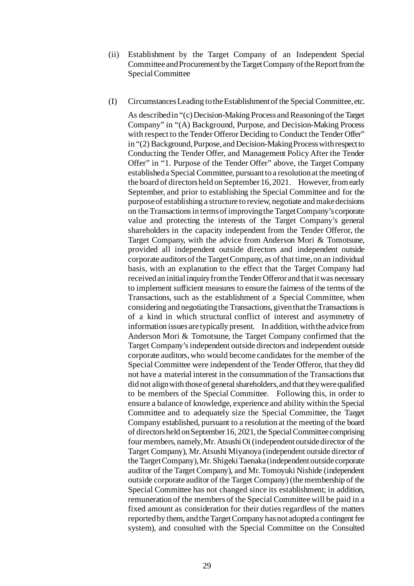- (ii) Establishment by the Target Company of an Independent Special Committee and Procurement by the Target Company of the Report from the Special Committee
- (I) Circumstances Leading to the Establishment of the Special Committee, etc.

As described in "(c) Decision-Making Process and Reasoning of the Target Company" in "(A) Background, Purpose, and Decision-Making Process with respect to the Tender Offeror Deciding to Conduct the Tender Offer" in "(2) Background, Purpose, and Decision-Making Process with respect to Conducting the Tender Offer, and Management Policy After the Tender Offer" in "1. Purpose of the Tender Offer" above, the Target Company established a Special Committee, pursuant to a resolution at the meeting of the board of directors held on September 16, 2021. However, from early September, and prior to establishing the Special Committee and for the purpose of establishing a structure to review, negotiate and make decisions on the Transactions in terms of improving the Target Company's corporate value and protecting the interests of the Target Company's general shareholders in the capacity independent from the Tender Offeror, the Target Company, with the advice from Anderson Mori & Tomotsune, provided all independent outside directors and independent outside corporate auditors of the Target Company, as of that time, on an individual basis, with an explanation to the effect that the Target Company had received an initial inquiry from the Tender Offeror and that it was necessary to implement sufficient measures to ensure the fairness of the terms of the Transactions, such as the establishment of a Special Committee, when considering and negotiating the Transactions, given that the Transactions is of a kind in which structural conflict of interest and asymmetry of information issues are typically present. In addition, with the advice from Anderson Mori & Tomotsune, the Target Company confirmed that the Target Company's independent outside directors and independent outside corporate auditors, who would become candidates for the member of the Special Committee were independent of the Tender Offeror, that they did not have a material interest in the consummation of the Transactions that did not align with those of general shareholders, and that they were qualified to be members of the Special Committee. Following this, in order to ensure a balance of knowledge, experience and ability within the Special Committee and to adequately size the Special Committee, the Target Company established, pursuant to a resolution at the meeting of the board of directors held on September 16, 2021, the Special Committee comprising four members, namely, Mr. Atsushi Oi (independent outside director of the Target Company), Mr. Atsushi Miyanoya (independent outside director of the Target Company), Mr. Shigeki Taenaka (independent outside corporate auditor of the Target Company), and Mr. Tomoyuki Nishide (independent outside corporate auditor of the Target Company) (the membership of the Special Committee has not changed since its establishment; in addition, remuneration of the members of the Special Committee will be paid in a fixed amount as consideration for their duties regardless of the matters reported by them, and the Target Company has not adopted a contingent fee system), and consulted with the Special Committee on the Consulted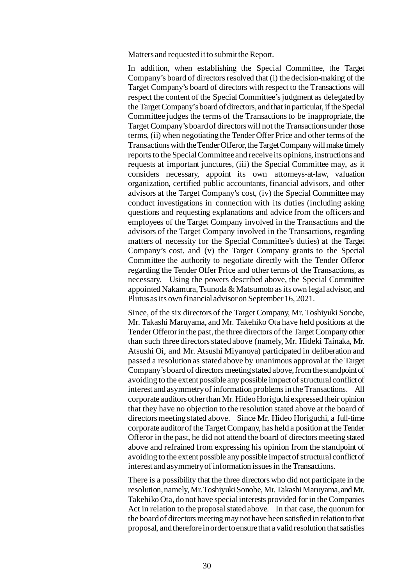Matters and requested it to submit the Report.

In addition, when establishing the Special Committee, the Target Company's board of directors resolved that (i) the decision-making of the Target Company's board of directors with respect to the Transactions will respect the content of the Special Committee's judgment as delegated by the Target Company's board of directors, and that in particular, if the Special Committee judges the terms of the Transactions to be inappropriate, the Target Company's board of directors will not the Transactions under those terms, (ii) when negotiating the Tender Offer Price and other terms of the Transactions with the Tender Offeror, the Target Company will make timely reports to the Special Committee and receive its opinions, instructions and requests at important junctures, (iii) the Special Committee may, as it considers necessary, appoint its own attorneys-at-law, valuation organization, certified public accountants, financial advisors, and other advisors at the Target Company's cost, (iv) the Special Committee may conduct investigations in connection with its duties (including asking questions and requesting explanations and advice from the officers and employees of the Target Company involved in the Transactions and the advisors of the Target Company involved in the Transactions, regarding matters of necessity for the Special Committee's duties) at the Target Company's cost, and (v) the Target Company grants to the Special Committee the authority to negotiate directly with the Tender Offeror regarding the Tender Offer Price and other terms of the Transactions, as necessary. Using the powers described above, the Special Committee appointed Nakamura, Tsunoda & Matsumoto as its own legal advisor, and Plutus as its own financial advisor on September 16, 2021.

Since, of the six directors of the Target Company, Mr. Toshiyuki Sonobe, Mr. Takashi Maruyama, and Mr. Takehiko Ota have held positions at the Tender Offeror in the past, the three directors of the Target Company other than such three directors stated above (namely, Mr. Hideki Tainaka, Mr. Atsushi Oi, and Mr. Atsushi Miyanoya) participated in deliberation and passed a resolution as stated above by unanimous approval at the Target Company's board of directors meeting stated above, from the standpoint of avoiding to the extent possible any possible impact of structural conflict of interest and asymmetry of information problems in the Transactions. All corporate auditors other than Mr. Hideo Horiguchi expressed their opinion that they have no objection to the resolution stated above at the board of directors meeting stated above. Since Mr. Hideo Horiguchi, a full-time corporate auditor of the Target Company, has held a position at the Tender Offeror in the past, he did not attend the board of directors meeting stated above and refrained from expressing his opinion from the standpoint of avoiding to the extent possible any possible impact of structural conflictof interest and asymmetry of information issues in the Transactions.

There is a possibility that the three directors who did not participate in the resolution, namely, Mr. Toshiyuki Sonobe, Mr. Takashi Maruyama, and Mr. Takehiko Ota, do not have special interests provided for in the Companies Act in relation to the proposal stated above. In that case, the quorum for the board of directors meeting may not have been satisfied in relation to that proposal, and therefore in order to ensure that a valid resolution that satisfies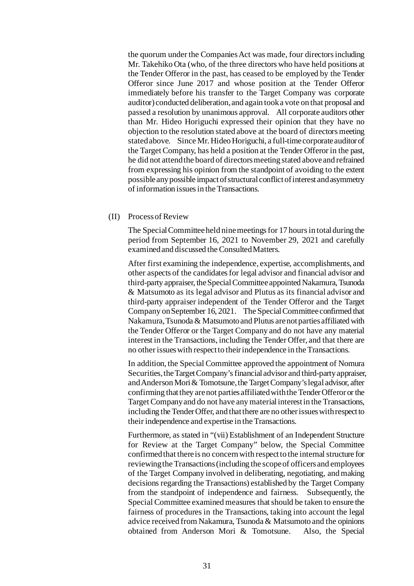the quorum under the Companies Act was made, four directors including Mr. Takehiko Ota (who, of the three directors who have held positions at the Tender Offeror in the past, has ceased to be employed by the Tender Offeror since June 2017 and whose position at the Tender Offeror immediately before his transfer to the Target Company was corporate auditor) conducted deliberation, and again took a vote on that proposal and passed a resolution by unanimous approval. All corporate auditors other than Mr. Hideo Horiguchi expressed their opinion that they have no objection to the resolution stated above at the board of directors meeting stated above. Since Mr. Hideo Horiguchi, a full-time corporate auditor of the Target Company, has held a position at the Tender Offeror in the past, he did not attend the board of directors meeting stated above and refrained from expressing his opinion from the standpoint of avoiding to the extent possible any possible impactof structural conflict of interest and asymmetry of information issues in the Transactions.

(II) Process of Review

The Special Committee held nine meetings for 17 hours in total during the period from September 16, 2021 to November 29, 2021 and carefully examined and discussed the Consulted Matters.

After first examining the independence, expertise, accomplishments, and other aspects of the candidates for legal advisor and financial advisor and third-party appraiser, the Special Committee appointed Nakamura, Tsunoda & Matsumoto as its legal advisor and Plutus as its financial advisor and third-party appraiser independent of the Tender Offeror and the Target Company on September 16, 2021. The Special Committee confirmed that Nakamura, Tsunoda & Matsumoto and Plutus are not parties affiliated with the Tender Offeror or the Target Company and do not have any material interest in the Transactions, including the Tender Offer, and that there are no other issues with respect to their independence in the Transactions.

In addition, the Special Committee approved the appointment of Nomura Securities, the Target Company's financial advisor and third-party appraiser, and Anderson Mori & Tomotsune, the Target Company's legal advisor, after confirming that they are not parties affiliated with the Tender Offeror or the Target Company and do not have any material interest in the Transactions, including the Tender Offer, and that there are no other issues with respect to their independence and expertise in the Transactions.

Furthermore, as stated in "(vii) Establishment of an Independent Structure for Review at the Target Company" below, the Special Committee confirmed that there is no concern with respect to the internal structure for reviewing the Transactions (including the scope of officers and employees of the Target Company involved in deliberating, negotiating, and making decisions regarding the Transactions) established by the Target Company from the standpoint of independence and fairness. Subsequently, the Special Committee examined measures that should be taken to ensure the fairness of procedures in the Transactions, taking into account the legal advice received from Nakamura, Tsunoda & Matsumoto and the opinions obtained from Anderson Mori & Tomotsune. Also, the Special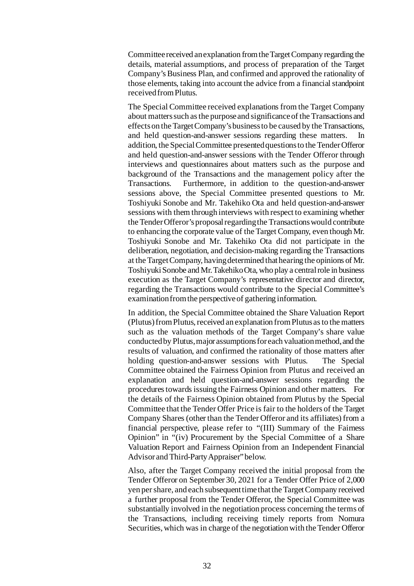Committee received an explanation from the Target Company regarding the details, material assumptions, and process of preparation of the Target Company's Business Plan, and confirmed and approved the rationality of those elements, taking into account the advice from a financial standpoint received from Plutus.

The Special Committee received explanations from the Target Company about matters such as the purpose and significance of the Transactions and effects on the Target Company's business to be caused by the Transactions, and held question-and-answer sessions regarding these matters. addition, the Special Committee presented questions to the Tender Offeror and held question-and-answer sessions with the Tender Offeror through interviews and questionnaires about matters such as the purpose and background of the Transactions and the management policy after the Transactions. Furthermore, in addition to the question-and-answer sessions above, the Special Committee presented questions to Mr. Toshiyuki Sonobe and Mr. Takehiko Ota and held question-and-answer sessions with them through interviews with respect to examining whether the Tender Offeror's proposal regarding the Transactions would contribute to enhancing the corporate value of the Target Company, even though Mr. Toshiyuki Sonobe and Mr. Takehiko Ota did not participate in the deliberation, negotiation, and decision-making regarding the Transactions at the Target Company, having determined that hearing the opinions of Mr. Toshiyuki Sonobe and Mr. Takehiko Ota, who play a central role in business execution as the Target Company's representative director and director, regarding the Transactions would contribute to the Special Committee's examination from the perspective of gathering information.

In addition, the Special Committee obtained the Share Valuation Report (Plutus) from Plutus, received an explanation from Plutus as to the matters such as the valuation methods of the Target Company's share value conducted by Plutus, major assumptions for each valuation method, and the results of valuation, and confirmed the rationality of those matters after holding question-and-answer sessions with Plutus. The Special Committee obtained the Fairness Opinion from Plutus and received an explanation and held question-and-answer sessions regarding the procedures towards issuing the Fairness Opinion and other matters. For the details of the Fairness Opinion obtained from Plutus by the Special Committee that the Tender Offer Price is fair to the holders of the Target Company Shares (other than the Tender Offeror and its affiliates) from a financial perspective, please refer to "(III) Summary of the Fairness Opinion" in "(iv) Procurement by the Special Committee of a Share Valuation Report and Fairness Opinion from an Independent Financial Advisor and Third-Party Appraiser" below.

Also, after the Target Company received the initial proposal from the Tender Offeror on September 30, 2021 for a Tender Offer Price of 2,000 yen per share, and each subsequent time that the Target Company received a further proposal from the Tender Offeror, the Special Committee was substantially involved in the negotiation process concerning the terms of the Transactions, including receiving timely reports from Nomura Securities, which was in charge of the negotiation with the Tender Offeror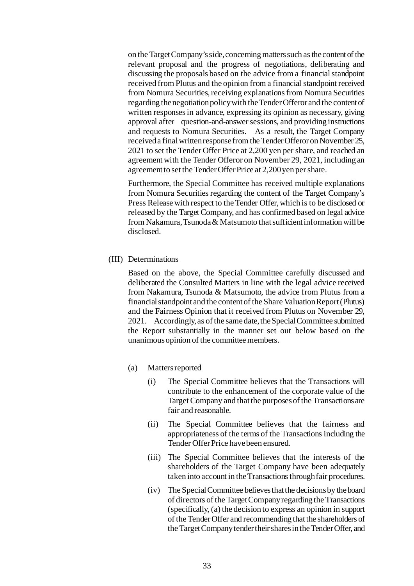on the Target Company's side, concerning matters such as the content of the relevant proposal and the progress of negotiations, deliberating and discussing the proposals based on the advice from a financial standpoint received from Plutus and the opinion from a financial standpoint received from Nomura Securities, receiving explanations from Nomura Securities regarding the negotiation policy with the Tender Offeror and the content of written responses in advance, expressing its opinion as necessary, giving approval after question-and-answer sessions, and providing instructions and requests to Nomura Securities. As a result, the Target Company received a final written response from the Tender Offeror on November 25, 2021 to set the Tender Offer Price at 2,200 yen per share, and reached an agreement with the Tender Offeror on November 29, 2021, including an agreement to set the Tender Offer Price at 2,200 yen per share.

Furthermore, the Special Committee has received multiple explanations from Nomura Securities regarding the content of the Target Company's Press Release with respect to the Tender Offer, which is to be disclosed or released by the Target Company, and has confirmed based on legal advice from Nakamura, Tsunoda & Matsumoto that sufficient information will be disclosed.

(III) Determinations

Based on the above, the Special Committee carefully discussed and deliberated the Consulted Matters in line with the legal advice received from Nakamura, Tsunoda & Matsumoto, the advice from Plutus from a financial standpoint and the content of the Share Valuation Report (Plutus) and the Fairness Opinion that it received from Plutus on November 29, 2021. Accordingly, as of the same date, the Special Committee submitted the Report substantially in the manner set out below based on the unanimous opinion of the committee members.

- (a) Matters reported
	- (i) The Special Committee believes that the Transactions will contribute to the enhancement of the corporate value of the Target Company and that the purposes of the Transactions are fair and reasonable.
	- (ii) The Special Committee believes that the fairness and appropriateness of the terms of the Transactions including the Tender Offer Price have been ensured.
	- (iii) The Special Committee believes that the interests of the shareholders of the Target Company have been adequately taken into account in the Transactions through fair procedures.
	- (iv) The Special Committee believes that the decisions by the board of directors of the Target Company regarding the Transactions (specifically, (a) the decision to express an opinion in support of the Tender Offer and recommending that the shareholders of the Target Company tender their shares in the Tender Offer, and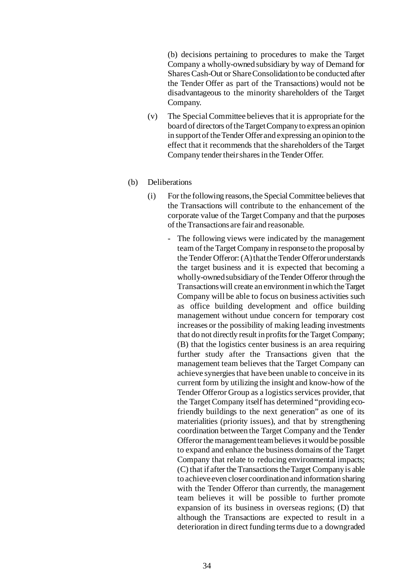(b) decisions pertaining to procedures to make the Target Company a wholly-owned subsidiary by way of Demand for Shares Cash-Out or Share Consolidation to be conducted after the Tender Offer as part of the Transactions) would not be disadvantageous to the minority shareholders of the Target Company.

- (v) The Special Committee believes that it is appropriate for the board of directors of the Target Company to express an opinion in support of the Tender Offer and expressing an opinion to the effect that it recommends that the shareholders of the Target Company tender their shares in the Tender Offer.
- (b) Deliberations
	- (i) For the following reasons, the Special Committee believes that the Transactions will contribute to the enhancement of the corporate value of the Target Company and that the purposes of the Transactions are fair and reasonable.
		- The following views were indicated by the management team of the Target Company in response to the proposal by the Tender Offeror: (A) that the Tender Offeror understands the target business and it is expected that becoming a wholly-owned subsidiary of the Tender Offeror through the Transactions will create an environment in which the Target Company will be able to focus on business activities such as office building development and office building management without undue concern for temporary cost increases or the possibility of making leading investments that do not directly result in profits for the Target Company; (B) that the logistics center business is an area requiring further study after the Transactions given that the management team believes that the Target Company can achieve synergies that have been unable to conceive in its current form by utilizing the insight and know-how of the Tender Offeror Group as a logistics services provider, that the Target Company itself has determined "providing ecofriendly buildings to the next generation" as one of its materialities (priority issues), and that by strengthening coordination between the Target Company and the Tender Offeror the management team believes it would be possible to expand and enhance the business domains of the Target Company that relate to reducing environmental impacts; (C) that if after the Transactions the Target Company is able to achieve even closer coordination and information sharing with the Tender Offeror than currently, the management team believes it will be possible to further promote expansion of its business in overseas regions; (D) that although the Transactions are expected to result in a deterioration in direct funding terms due to a downgraded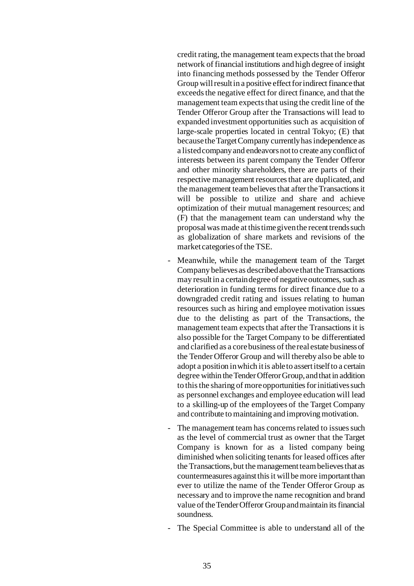credit rating, the management team expects that the broad network of financial institutions and high degree of insight into financing methods possessed by the Tender Offeror Group will result in a positive effect for indirect finance that exceeds the negative effect for direct finance, and that the management team expects that using the credit line of the Tender Offeror Group after the Transactions will lead to expanded investment opportunities such as acquisition of large-scale properties located in central Tokyo; (E) that because the Target Company currently has independence as a listed company and endeavors not to create any conflict of interests between its parent company the Tender Offeror and other minority shareholders, there are parts of their respective management resources that are duplicated, and the management team believes that after the Transactions it will be possible to utilize and share and achieve optimization of their mutual management resources; and (F) that the management team can understand why the proposal was made at this time given the recent trends such as globalization of share markets and revisions of the market categories of the TSE.

- Meanwhile, while the management team of the Target Company believes as described above that the Transactions may result in a certain degree of negative outcomes, such as deterioration in funding terms for direct finance due to a downgraded credit rating and issues relating to human resources such as hiring and employee motivation issues due to the delisting as part of the Transactions, the management team expects that after the Transactions it is also possible for the Target Company to be differentiated and clarified as a core business of thereal estate business of the Tender Offeror Group and will thereby also be able to adopt a position in which it is able to assert itself to a certain degree within the Tender Offeror Group, and that in addition to this the sharing of more opportunities forinitiatives such as personnel exchanges and employee education will lead to a skilling-up of the employees of the Target Company and contribute to maintaining and improving motivation.
- The management team has concerns related to issues such as the level of commercial trust as owner that the Target Company is known for as a listed company being diminished when soliciting tenants for leased offices after the Transactions, but the management team believes that as countermeasures against this it will be more important than ever to utilize the name of the Tender Offeror Group as necessary and to improve the name recognition and brand value of the Tender Offeror Group and maintain its financial soundness.
- The Special Committee is able to understand all of the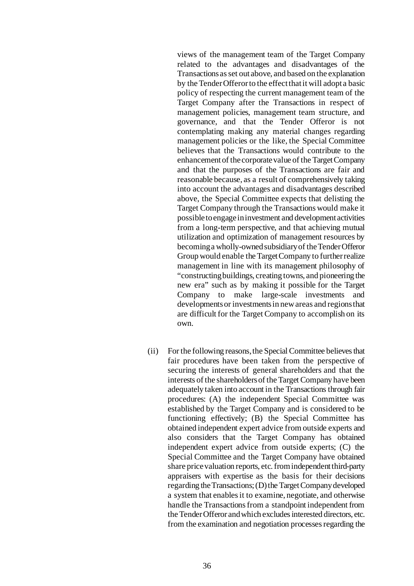views of the management team of the Target Company related to the advantages and disadvantages of the Transactions as set out above, and based on the explanation by the Tender Offeror to the effect that it will adopt a basic policy of respecting the current management team of the Target Company after the Transactions in respect of management policies, management team structure, and governance, and that the Tender Offeror is not contemplating making any material changes regarding management policies or the like, the Special Committee believes that the Transactions would contribute to the enhancement of the corporate value of the Target Company and that the purposes of the Transactions are fair and reasonable because, as a result of comprehensively taking into account the advantages and disadvantages described above, the Special Committee expects that delisting the Target Company through the Transactions would make it possible to engage in investment and development activities from a long-term perspective, and that achieving mutual utilization and optimization of management resources by becoming a wholly-owned subsidiary of the Tender Offeror Group would enable the Target Company to further realize management in line with its management philosophy of "constructing buildings, creating towns, and pioneering the new era" such as by making it possible for the Target<br>Company to make large-scale investments and Company to make large-scale investments developments or investments in new areas and regions that are difficult for the Target Company to accomplish on its own.

(ii) For the following reasons, the Special Committee believes that fair procedures have been taken from the perspective of securing the interests of general shareholders and that the interests of the shareholders of the Target Company have been adequately taken into account in the Transactions through fair procedures: (A) the independent Special Committee was established by the Target Company and is considered to be functioning effectively; (B) the Special Committee has obtained independent expert advice from outside experts and also considers that the Target Company has obtained independent expert advice from outside experts; (C) the Special Committee and the Target Company have obtained share price valuation reports, etc. from independent third-party appraisers with expertise as the basis for their decisions regarding the Transactions; (D) the Target Company developed a system that enables it to examine, negotiate, and otherwise handle the Transactions from a standpoint independent from the Tender Offeror and which excludes interested directors, etc. from the examination and negotiation processes regarding the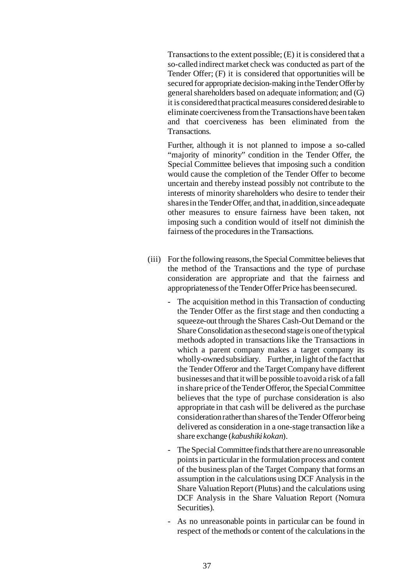Transactions to the extent possible; (E) it is considered that a so-called indirect market check was conducted as part of the Tender Offer; (F) it is considered that opportunities will be secured for appropriate decision-making in the Tender Offer by general shareholders based on adequate information; and (G) it is considered that practical measures considered desirable to eliminate coerciveness from the Transactions have been taken and that coerciveness has been eliminated from the Transactions.

Further, although it is not planned to impose a so-called "majority of minority" condition in the Tender Offer, the Special Committee believes that imposing such a condition would cause the completion of the Tender Offer to become uncertain and thereby instead possibly not contribute to the interests of minority shareholders who desire to tender their shares in the Tender Offer, and that, in addition, since adequate other measures to ensure fairness have been taken, not imposing such a condition would of itself not diminish the fairness of the procedures in the Transactions.

- (iii) For the following reasons, the Special Committee believes that the method of the Transactions and the type of purchase consideration are appropriate and that the fairness and appropriateness of the Tender Offer Price has been secured.
	- The acquisition method in this Transaction of conducting the Tender Offer as the first stage and then conducting a squeeze-out through the Shares Cash-Out Demand or the Share Consolidation as the second stage is one of the typical methods adopted in transactions like the Transactions in which a parent company makes a target company its wholly-owned subsidiary. Further, in light of the fact that the Tender Offeror and the Target Company have different businesses and that it will be possible to avoid a risk of a fall in share price of the Tender Offeror, the Special Committee believes that the type of purchase consideration is also appropriate in that cash will be delivered as the purchase consideration rather than shares of the Tender Offeror being delivered as consideration in a one-stage transaction like a share exchange (*kabushiki kokan*).
	- The Special Committee finds that there are no unreasonable points in particular in the formulation process and content of the business plan of the Target Company that forms an assumption in the calculations using DCF Analysis in the Share Valuation Report (Plutus) and the calculations using DCF Analysis in the Share Valuation Report (Nomura Securities).
	- As no unreasonable points in particular can be found in respect of the methods or content of the calculations in the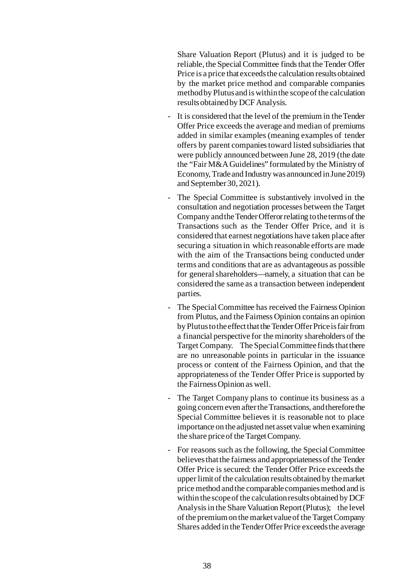Share Valuation Report (Plutus) and it is judged to be reliable, the Special Committee finds that the Tender Offer Price is a price that exceeds the calculation results obtained by the market price method and comparable companies method by Plutus and is within the scope of the calculation results obtained by DCF Analysis.

- It is considered that the level of the premium in the Tender Offer Price exceeds the average and median of premiums added in similar examples (meaning examples of tender offers by parent companies toward listed subsidiaries that were publicly announced between June 28, 2019 (the date the "Fair M&A Guidelines" formulated by the Ministry of Economy, Trade and Industry was announced in June 2019) and September 30, 2021).
- The Special Committee is substantively involved in the consultation and negotiation processes between the Target Company and the Tender Offeror relating to the terms of the Transactions such as the Tender Offer Price, and it is considered that earnest negotiations have taken place after securing a situation in which reasonable efforts are made with the aim of the Transactions being conducted under terms and conditions that are as advantageous as possible for general shareholders—namely, a situation that can be considered the same as a transaction between independent parties.
- The Special Committee has received the Fairness Opinion from Plutus, and the Fairness Opinion contains an opinion by Plutus to the effect that the Tender Offer Price is fair from a financial perspective for the minority shareholders of the Target Company. The Special Committee finds that there are no unreasonable points in particular in the issuance process or content of the Fairness Opinion, and that the appropriateness of the Tender Offer Price is supported by the Fairness Opinion as well.
- The Target Company plans to continue its business as a going concern even after the Transactions, and therefore the Special Committee believes it is reasonable not to place importance on the adjusted net asset value when examining the share price of the Target Company.
- For reasons such as the following, the Special Committee believes that the fairness and appropriateness of the Tender Offer Price is secured: the Tender Offer Price exceeds the upper limit of the calculation results obtained by the market price method and the comparable companies method and is within the scope of the calculation results obtained by DCF Analysis in the Share Valuation Report (Plutus); the level of the premium on the market value of the Target Company Shares added in the Tender Offer Price exceeds the average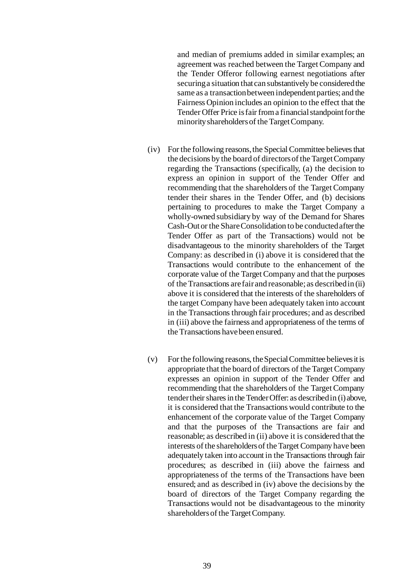and median of premiums added in similar examples; an agreement was reached between the Target Company and the Tender Offeror following earnest negotiations after securing a situation that can substantively be considered the same as a transaction between independent parties; and the Fairness Opinion includes an opinion to the effect that the Tender Offer Price is fair from a financial standpoint for the minority shareholders of the Target Company.

- (iv) For the following reasons, the Special Committee believes that the decisions by the board of directors of the Target Company regarding the Transactions (specifically, (a) the decision to express an opinion in support of the Tender Offer and recommending that the shareholders of the Target Company tender their shares in the Tender Offer, and (b) decisions pertaining to procedures to make the Target Company a wholly-owned subsidiary by way of the Demand for Shares Cash-Out or the Share Consolidation to be conducted after the Tender Offer as part of the Transactions) would not be disadvantageous to the minority shareholders of the Target Company: as described in (i) above it is considered that the Transactions would contribute to the enhancement of the corporate value of the Target Company and that the purposes of the Transactions are fair and reasonable; as described in (ii) above it is considered that the interests of the shareholders of the target Company have been adequately taken into account in the Transactions through fair procedures; and as described in (iii) above the fairness and appropriateness of the terms of the Transactions have been ensured.
- (v) For the following reasons, the Special Committee believes it is appropriate that the board of directors of the Target Company expresses an opinion in support of the Tender Offer and recommending that the shareholders of the Target Company tender their shares in the Tender Offer: as described in (i) above, it is considered that the Transactions would contribute to the enhancement of the corporate value of the Target Company and that the purposes of the Transactions are fair and reasonable; as described in (ii) above it is considered that the interests of the shareholders of the Target Company have been adequately taken into account in the Transactions through fair procedures; as described in (iii) above the fairness and appropriateness of the terms of the Transactions have been ensured; and as described in (iv) above the decisions by the board of directors of the Target Company regarding the Transactions would not be disadvantageous to the minority shareholders of the Target Company.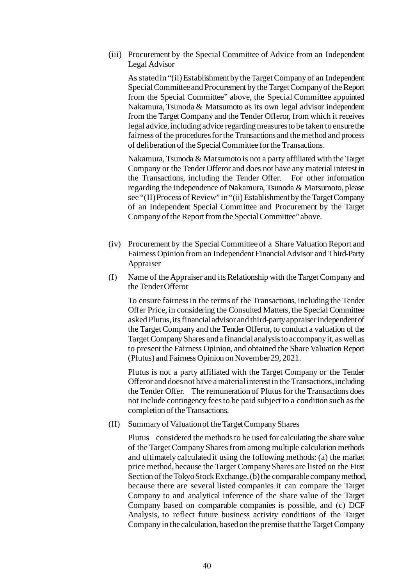(iii) Procurement by the Special Committee of Advice from an Independent Legal Advisor

As stated in "(ii) Establishment by the Target Company of an Independent Special Committee and Procurement by the Target Company of the Report from the Special Committee" above, the Special Committee appointed Nakamura, Tsunoda & Matsumoto as its own legal advisor independent from the Target Company and the Tender Offeror, from which it receives legal advice, including advice regarding measures to be taken to ensure the fairness of the procedures for the Transactions and the method and process of deliberation of the Special Committee for the Transactions.

Nakamura, Tsunoda & Matsumoto is not a party affiliated with the Target Company or the Tender Offeror and does not have any material interest in the Transactions, including the Tender Offer. For other information regarding the independence of Nakamura, Tsunoda & Matsumoto, please see "(II) Process of Review" in "(ii) Establishment by the Target Company of an Independent Special Committee and Procurement by the Target Company of the Report from the Special Committee" above.

- (iv) Procurement by the Special Committee of a Share Valuation Report and Fairness Opinion from an Independent Financial Advisor and Third-Party Appraiser
- (I) Name of the Appraiser and its Relationship with the Target Company and the Tender Offeror

To ensure fairness in the terms of the Transactions, including the Tender Offer Price, in considering the Consulted Matters, the Special Committee asked Plutus, its financial advisor and third-party appraiser independent of the Target Company and the Tender Offeror, to conduct a valuation of the Target Company Shares and a financial analysis to accompany it, as well as to present the Fairness Opinion, and obtained the Share Valuation Report (Plutus) and Fairness Opinion on November 29, 2021.

Plutus is not a party affiliated with the Target Company or the Tender Offeror and does not have a material interest in the Transactions, including the Tender Offer. The remuneration of Plutus for the Transactions does not include contingency fees to be paid subject to a condition such as the completion of the Transactions.

(II) Summary of Valuation of the Target Company Shares

Plutus considered the methods to be used for calculating the share value of the Target Company Shares from among multiple calculation methods and ultimately calculated it using the following methods: (a) the market price method, because the Target Company Shares are listed on the First Section of the Tokyo Stock Exchange, (b) the comparable company method, because there are several listed companies it can compare the Target Company to and analytical inference of the share value of the Target Company based on comparable companies is possible, and (c) DCF Analysis, to reflect future business activity conditions of the Target Company in the calculation, based on the premise that the Target Company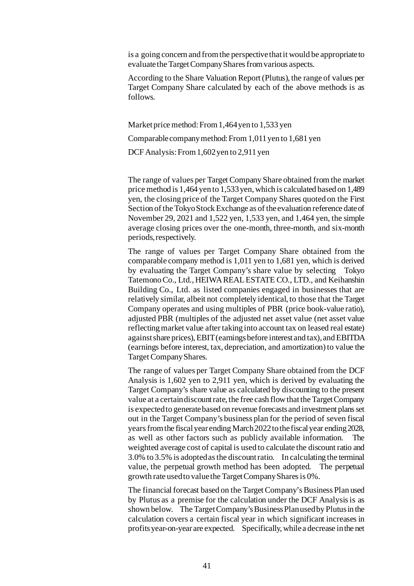is a going concern and from the perspective that it would be appropriate to evaluate the Target Company Shares from various aspects.

According to the Share Valuation Report (Plutus), the range of values per Target Company Share calculated by each of the above methods is as follows.

Market price method: From 1,464 yen to 1,533 yen

Comparable company method: From 1,011 yen to 1,681 yen

DCF Analysis: From 1,602 yen to 2,911 yen

The range of values per Target Company Share obtained from the market price method is 1,464 yen to 1,533 yen, which is calculated based on 1,489 yen, the closing price of the Target Company Shares quoted on the First Section of the Tokyo Stock Exchange as of the evaluation reference date of November 29, 2021 and 1,522 yen, 1,533 yen, and 1,464 yen, the simple average closing prices over the one-month, three-month, and six-month periods, respectively.

The range of values per Target Company Share obtained from the comparable company method is 1,011 yen to 1,681 yen, which is derived by evaluating the Target Company's share value by selecting Tokyo Tatemono Co., Ltd., HEIWA REAL ESTATE CO., LTD., and Keihanshin Building Co., Ltd. as listed companies engaged in businesses that are relatively similar, albeit not completely identical, to those that the Target Company operates and using multiples of PBR (price book-value ratio), adjusted PBR (multiples of the adjusted net asset value (net asset value reflecting market value after taking into account tax on leased real estate) against share prices), EBIT (earnings before interest and tax), and EBITDA (earnings before interest, tax, depreciation, and amortization) to value the Target Company Shares.

The range of values per Target Company Share obtained from the DCF Analysis is 1,602 yen to 2,911 yen, which is derived by evaluating the Target Company's share value as calculated by discounting to the present value at a certain discount rate, the free cash flow that the Target Company is expected to generate based on revenue forecasts and investment plans set out in the Target Company's business plan for the period of seven fiscal years from the fiscal year ending March 2022 to the fiscal year ending 2028, as well as other factors such as publicly available information. The weighted average cost of capital is used to calculate the discount ratio and 3.0% to 3.5% is adopted as the discount ratio. In calculating the terminal value, the perpetual growth method has been adopted. The perpetual growth rate used to value the Target Company Shares is 0%.

The financial forecast based on the Target Company's Business Plan used by Plutus as a premise for the calculation under the DCF Analysis is as shown below. The Target Company's Business Plan used by Plutus in the calculation covers a certain fiscal year in which significant increases in profits year-on-year are expected. Specifically, while a decrease in the net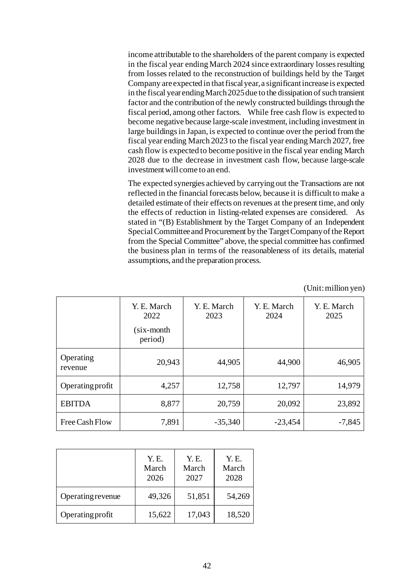income attributable to the shareholders of the parent company is expected in the fiscal year ending March 2024 since extraordinary losses resulting from losses related to the reconstruction of buildings held by the Target Company are expected in that fiscal year, a significant increase is expected in the fiscal year ending March 2025due to the dissipation of such transient factor and the contribution of the newly constructed buildings through the fiscal period, among other factors. While free cash flow is expected to become negative because large-scale investment, including investment in large buildings in Japan, is expected to continue over the period from the fiscal year ending March 2023 to the fiscal year ending March 2027, free cash flow is expected to become positive in the fiscal year ending March 2028 due to the decrease in investment cash flow, because large-scale investment will come to an end.

The expected synergies achieved by carrying out the Transactions are not reflected in the financial forecasts below, because it is difficult to make a detailed estimate of their effects on revenues at the present time, and only the effects of reduction in listing-related expenses are considered. As stated in "(B) Establishment by the Target Company of an Independent Special Committee and Procurement by the Target Company of the Report from the Special Committee" above, the special committee has confirmed the business plan in terms of the reasonableness of its details, material assumptions, and the preparation process.

(Unit: million yen)

|                      | Y. E. March<br>2022<br>(six-month | Y. E. March<br>2023 | Y. E. March<br>2024 | Y. E. March<br>2025 |
|----------------------|-----------------------------------|---------------------|---------------------|---------------------|
|                      | period)                           |                     |                     |                     |
| Operating<br>revenue | 20,943                            | 44,905              | 44,900              | 46,905              |
| Operating profit     | 4,257                             | 12,758              | 12,797              | 14,979              |
| <b>EBITDA</b>        | 8,877                             | 20,759              | 20,092              | 23,892              |
| Free Cash Flow       | 7,891                             | $-35,340$           | $-23,454$           | $-7,845$            |

|                          | Y. E.<br>March<br>2026 | Y. E.<br>March<br>2027 | Y.E.<br>March<br>2028 |
|--------------------------|------------------------|------------------------|-----------------------|
| <b>Operating revenue</b> | 49,326                 | 51,851                 | 54,269                |
| Operating profit         | 15,622                 | 17,043                 | 18,520                |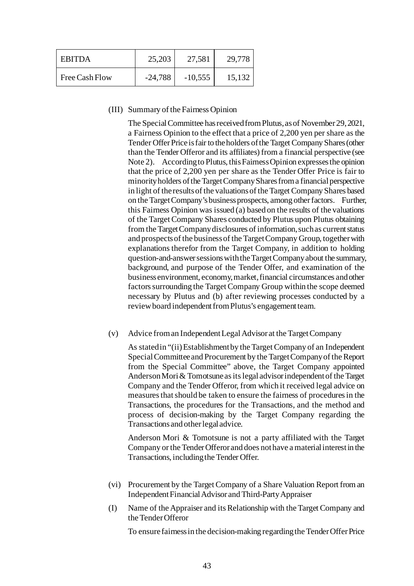| <b>EBITDA</b>  | 25,203    | 27,581    | 29,778 |
|----------------|-----------|-----------|--------|
| Free Cash Flow | $-24,788$ | $-10,555$ | 15,132 |

### (III) Summary of the Fairness Opinion

The Special Committee has received from Plutus, as of November 29, 2021, a Fairness Opinion to the effect that a price of 2,200 yen per share as the Tender Offer Price is fair to the holders of the Target Company Shares (other than the Tender Offeror and its affiliates) from a financial perspective (see Note 2). According to Plutus, this Fairness Opinion expresses the opinion that the price of 2,200 yen per share as the Tender Offer Price is fair to minority holders of the Target Company Shares from a financial perspective in light of the results of the valuations of the Target Company Shares based on the Target Company's business prospects, among other factors. Further, this Fairness Opinion was issued (a) based on the results of the valuations of the Target Company Shares conducted by Plutus upon Plutus obtaining from the Target Company disclosures of information, such as current status and prospects of the business of the Target Company Group, together with explanations therefor from the Target Company, in addition to holding question-and-answer sessions with the Target Company about the summary, background, and purpose of the Tender Offer, and examination of the business environment, economy, market, financial circumstances and other factors surrounding the Target Company Group within the scope deemed necessary by Plutus and (b) after reviewing processes conducted by a review board independent from Plutus's engagement team.

(v) Advice from an Independent Legal Advisor at the Target Company

As stated in "(ii) Establishment by the Target Company of an Independent Special Committee and Procurement by the Target Company of the Report from the Special Committee" above, the Target Company appointed Anderson Mori & Tomotsune as its legal advisor independent of the Target Company and the Tender Offeror, from which it received legal advice on measures that should be taken to ensure the fairness of procedures in the Transactions, the procedures for the Transactions, and the method and process of decision-making by the Target Company regarding the Transactions and other legal advice.

Anderson Mori & Tomotsune is not a party affiliated with the Target Company or the Tender Offeror and does not have a material interest in the Transactions, including the Tender Offer.

- (vi) Procurement by the Target Company of a Share Valuation Report from an Independent Financial Advisor and Third-Party Appraiser
- (I) Name of the Appraiser and its Relationship with the Target Company and the Tender Offeror

To ensure fairness in the decision-making regarding the Tender Offer Price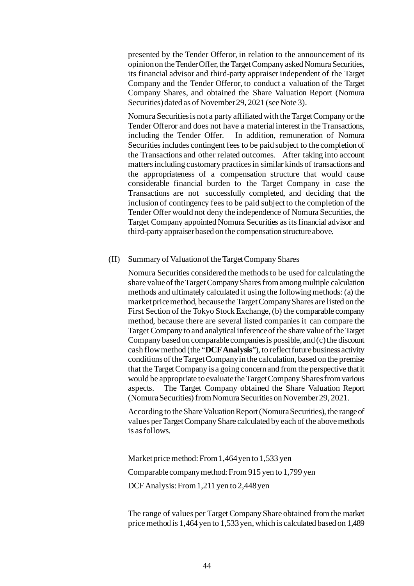presented by the Tender Offeror, in relation to the announcement of its opinion on the Tender Offer, the Target Company asked Nomura Securities, its financial advisor and third-party appraiser independent of the Target Company and the Tender Offeror, to conduct a valuation of the Target Company Shares, and obtained the Share Valuation Report (Nomura Securities) dated as of November 29, 2021 (see Note 3).

Nomura Securities is not a party affiliated with the Target Company or the Tender Offeror and does not have a material interest in the Transactions, including the Tender Offer. In addition, remuneration of Nomura Securities includes contingent fees to be paid subject to the completion of the Transactions and other related outcomes. After taking into account matters including customary practices in similar kinds of transactions and the appropriateness of a compensation structure that would cause considerable financial burden to the Target Company in case the Transactions are not successfully completed, and deciding that the inclusion of contingency fees to be paid subject to the completion of the Tender Offer would not deny the independence of Nomura Securities, the Target Company appointed Nomura Securities as its financial advisor and third-party appraiser based on the compensation structure above.

#### (II) Summary of Valuation of the Target Company Shares

Nomura Securities considered the methods to be used for calculating the share value of the Target Company Shares from among multiple calculation methods and ultimately calculated it using the following methods: (a) the market price method, because the Target Company Shares are listed on the First Section of the Tokyo Stock Exchange, (b) the comparable company method, because there are several listed companies it can compare the Target Company to and analytical inference of the share value of the Target Company based on comparable companies is possible, and (c) the discount cash flow method (the "**DCF Analysis**"), to reflect future business activity conditions of the Target Company in the calculation, based on the premise that the Target Company is a going concern and from the perspective that it would be appropriate to evaluate the Target Company Shares from various aspects. The Target Company obtained the Share Valuation Report (Nomura Securities) from Nomura Securities on November 29, 2021.

According to the Share Valuation Report (Nomura Securities), the range of values per Target Company Share calculated by each of the above methods is as follows.

Market price method: From 1,464 yen to 1,533 yen Comparable company method: From 915 yen to 1,799 yen DCF Analysis: From 1,211 yen to 2,448 yen

The range of values per Target Company Share obtained from the market price method is 1,464 yen to 1,533 yen, which is calculated based on 1,489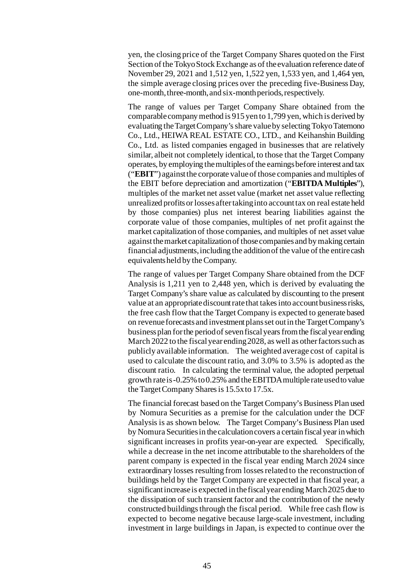yen, the closing price of the Target Company Shares quoted on the First Section of the Tokyo Stock Exchange as of the evaluation reference date of November 29, 2021 and 1,512 yen, 1,522 yen, 1,533 yen, and 1,464 yen, the simple average closing prices over the preceding five-Business Day, one-month, three-month, and six-month periods, respectively.

The range of values per Target Company Share obtained from the comparable company method is 915 yen to 1,799 yen, which is derived by evaluating the Target Company's share value by selecting Tokyo Tatemono Co., Ltd., HEIWA REAL ESTATE CO., LTD., and Keihanshin Building Co., Ltd. as listed companies engaged in businesses that are relatively similar, albeit not completely identical, to those that the Target Company operates, by employing the multiples of the earnings before interest and tax ("**EBIT**") against the corporate value of those companies and multiples of the EBIT before depreciation and amortization ("**EBITDA Multiples**"), multiples of the market net asset value (market net asset value reflecting unrealized profits or losses after taking into account tax on real estate held by those companies) plus net interest bearing liabilities against the corporate value of those companies, multiples of net profit against the market capitalization of those companies, and multiples of net asset value against the market capitalization of those companies and by making certain financial adjustments, including the addition of the value of the entire cash equivalents held by the Company.

The range of values per Target Company Share obtained from the DCF Analysis is 1,211 yen to 2,448 yen, which is derived by evaluating the Target Company's share value as calculated by discounting to the present value at an appropriate discount rate that takes into account business risks, the free cash flow that the Target Company is expected to generate based on revenue forecasts and investment plans set out in the Target Company's business plan for the period of seven fiscal years from the fiscal year ending March 2022 to the fiscal year ending 2028, as well as other factors such as publicly available information. The weighted average cost of capital is used to calculate the discount ratio, and 3.0% to 3.5% is adopted as the discount ratio. In calculating the terminal value, the adopted perpetual growth rate is -0.25% to 0.25% and the EBITDA multiple rate used to value the Target Company Shares is 15.5x to 17.5x.

The financial forecast based on the Target Company's Business Plan used by Nomura Securities as a premise for the calculation under the DCF Analysis is as shown below. The Target Company's Business Plan used by Nomura Securities in the calculation covers a certain fiscal year in which significant increases in profits year-on-year are expected. Specifically, while a decrease in the net income attributable to the shareholders of the parent company is expected in the fiscal year ending March 2024 since extraordinary losses resulting from losses related to the reconstruction of buildings held by the Target Company are expected in that fiscal year, a significant increase is expected in the fiscal year ending March 2025 due to the dissipation of such transient factor and the contribution of the newly constructed buildings through the fiscal period. While free cash flow is expected to become negative because large-scale investment, including investment in large buildings in Japan, is expected to continue over the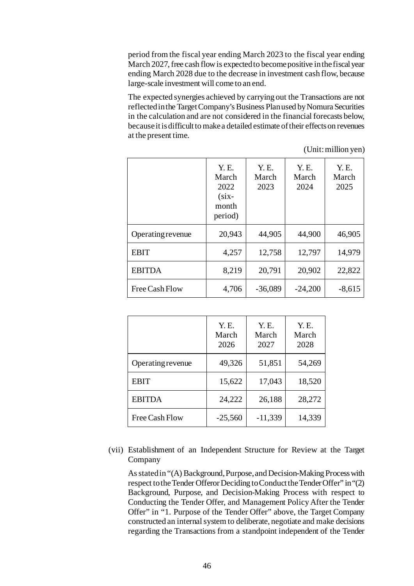period from the fiscal year ending March 2023 to the fiscal year ending March 2027, free cash flow is expected to become positive in the fiscal year ending March 2028 due to the decrease in investment cash flow, because large-scale investment will come to an end.

The expected synergies achieved by carrying out the Transactions are not reflected in the Target Company's Business Plan used by Nomura Securities in the calculation and are not considered in the financial forecasts below, because it is difficult to make a detailed estimate of their effects on revenues at the present time.

(Unit: million yen)

|                   | Y. E.<br>March<br>2022<br>$(six -$<br>month<br>period) | Y. E.<br>March<br>2023 | Y. E.<br>March<br>2024 | Y. E.<br>March<br>2025 |
|-------------------|--------------------------------------------------------|------------------------|------------------------|------------------------|
| Operating revenue | 20,943                                                 | 44,905                 | 44,900                 | 46,905                 |
| <b>EBIT</b>       | 4,257                                                  | 12,758                 | 12,797                 | 14,979                 |
| <b>EBITDA</b>     | 8,219                                                  | 20,791                 | 20,902                 | 22,822                 |
| Free Cash Flow    | 4,706                                                  | $-36,089$              | $-24,200$              | $-8,615$               |

|                   | Y. E.<br>March<br>2026 | Y. E.<br>March<br>2027 | Y. E.<br>March<br>2028 |
|-------------------|------------------------|------------------------|------------------------|
| Operating revenue | 49,326                 | 51,851                 | 54,269                 |
| <b>EBIT</b>       | 15,622                 | 17,043                 | 18,520                 |
| <b>EBITDA</b>     | 24,222                 | 26,188                 | 28,272                 |
| Free Cash Flow    | $-25,560$              | $-11,339$              | 14,339                 |

(vii) Establishment of an Independent Structure for Review at the Target Company

As stated in "(A) Background, Purpose, and Decision-Making Process with respect to the Tender Offeror Deciding to Conduct the Tender Offer" in "(2) Background, Purpose, and Decision-Making Process with respect to Conducting the Tender Offer, and Management Policy After the Tender Offer" in "1. Purpose of the Tender Offer" above, the Target Company constructed an internal system to deliberate, negotiate and make decisions regarding the Transactions from a standpoint independent of the Tender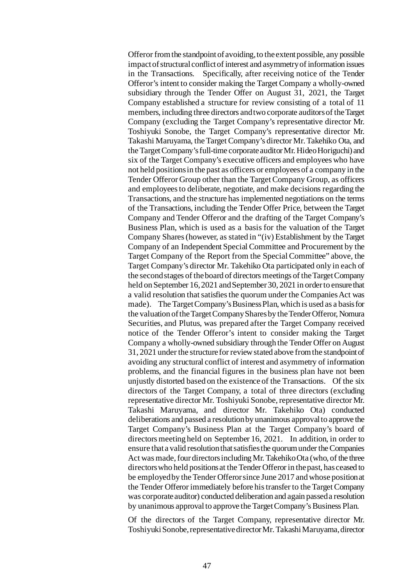Offeror from the standpoint of avoiding, to the extent possible, any possible impact of structural conflict of interest and asymmetry of information issues in the Transactions. Specifically, after receiving notice of the Tender Offeror's intent to consider making the Target Company a wholly-owned subsidiary through the Tender Offer on August 31, 2021, the Target Company established a structure for review consisting of a total of 11 members, including three directors and two corporate auditors of the Target Company (excluding the Target Company's representative director Mr. Toshiyuki Sonobe, the Target Company's representative director Mr. Takashi Maruyama, the Target Company's director Mr. Takehiko Ota, and the Target Company's full-time corporate auditor Mr. Hideo Horiguchi) and six of the Target Company's executive officers and employees who have not held positions in the past as officers or employees of a company in the Tender Offeror Group other than the Target Company Group, as officers and employees to deliberate, negotiate, and make decisions regarding the Transactions, and the structure has implemented negotiations on the terms of the Transactions, including the Tender Offer Price, between the Target Company and Tender Offeror and the drafting of the Target Company's Business Plan, which is used as a basis for the valuation of the Target Company Shares (however, as stated in "(iv) Establishment by the Target Company of an Independent Special Committee and Procurement by the Target Company of the Report from the Special Committee" above, the Target Company's director Mr. Takehiko Ota participated only in each of the second stages of the board of directors meetings of the Target Company held on September 16, 2021 and September 30, 2021 in order to ensure that a valid resolution that satisfies the quorum under the Companies Act was made). The Target Company's Business Plan, which is used as a basis for the valuation of the Target Company Shares by the Tender Offeror, Nomura Securities, and Plutus, was prepared after the Target Company received notice of the Tender Offeror's intent to consider making the Target Company a wholly-owned subsidiary through the Tender Offer on August 31, 2021 under the structure for review stated above from the standpoint of avoiding any structural conflict of interest and asymmetry of information problems, and the financial figures in the business plan have not been unjustly distorted based on the existence of the Transactions. Of the six directors of the Target Company, a total of three directors (excluding representative director Mr. Toshiyuki Sonobe, representative director Mr. Takashi Maruyama, and director Mr. Takehiko Ota) conducted deliberations and passed a resolution by unanimous approval to approve the Target Company's Business Plan at the Target Company's board of directors meeting held on September 16, 2021. In addition, in order to ensure that a valid resolution that satisfies the quorum under the Companies Act was made, four directors including Mr. Takehiko Ota (who, of the three directors who held positions at the Tender Offeror in the past, has ceased to be employed by the Tender Offeror since June 2017 and whose position at the Tender Offeror immediately before his transfer to the Target Company was corporate auditor) conducted deliberation and again passed a resolution by unanimous approval to approve the Target Company's Business Plan.

Of the directors of the Target Company, representative director Mr. Toshiyuki Sonobe, representative director Mr. Takashi Maruyama, director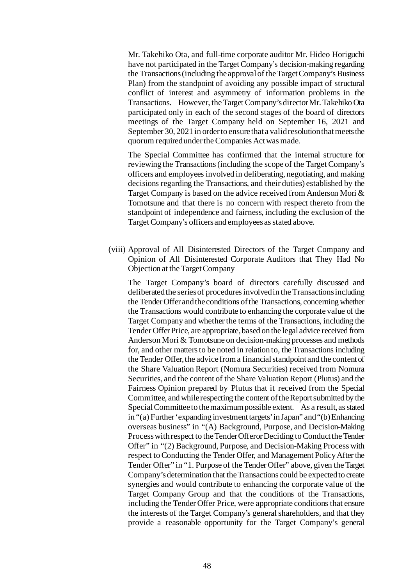Mr. Takehiko Ota, and full-time corporate auditor Mr. Hideo Horiguchi have not participated in the Target Company's decision-making regarding the Transactions (including the approval of the Target Company's Business Plan) from the standpoint of avoiding any possible impact of structural conflict of interest and asymmetry of information problems in the Transactions. However, the Target Company's director Mr. Takehiko Ota participated only in each of the second stages of the board of directors meetings of the Target Company held on September 16, 2021 and September 30, 2021 in order to ensure that a valid resolution that meets the quorum required under the Companies Act was made.

The Special Committee has confirmed that the internal structure for reviewing the Transactions (including the scope of the Target Company's officers and employees involved in deliberating, negotiating, and making decisions regarding the Transactions, and their duties) established by the Target Company is based on the advice received from Anderson Mori & Tomotsune and that there is no concern with respect thereto from the standpoint of independence and fairness, including the exclusion of the Target Company's officers and employees as stated above.

(viii) Approval of All Disinterested Directors of the Target Company and Opinion of All Disinterested Corporate Auditors that They Had No Objection at the Target Company

The Target Company's board of directors carefully discussed and deliberated the series of procedures involved in the Transactions including the Tender Offer and the conditions of the Transactions, concerning whether the Transactions would contribute to enhancing the corporate value of the Target Company and whether the terms of the Transactions, including the Tender Offer Price, are appropriate, based on the legal advice received from Anderson Mori & Tomotsune on decision-making processes and methods for, and other matters to be noted in relation to, the Transactions including the Tender Offer, the advice from a financial standpoint and the content of the Share Valuation Report (Nomura Securities) received from Nomura Securities, and the content of the Share Valuation Report (Plutus) and the Fairness Opinion prepared by Plutus that it received from the Special Committee, and while respecting the content of the Report submitted by the Special Committee to the maximum possible extent. As a result, as stated in "(a) Further 'expanding investment targets' in Japan" and "(b)Enhancing overseas business" in "(A) Background, Purpose, and Decision-Making Process with respect to the Tender Offeror Deciding to Conduct the Tender Offer" in "(2) Background, Purpose, and Decision-Making Process with respect to Conducting the Tender Offer, and Management Policy After the Tender Offer" in "1. Purpose of the Tender Offer" above, given the Target Company's determination that the Transactions could be expected to create synergies and would contribute to enhancing the corporate value of the Target Company Group and that the conditions of the Transactions, including the Tender Offer Price, were appropriate conditions that ensure the interests of the Target Company's general shareholders, and that they provide a reasonable opportunity for the Target Company's general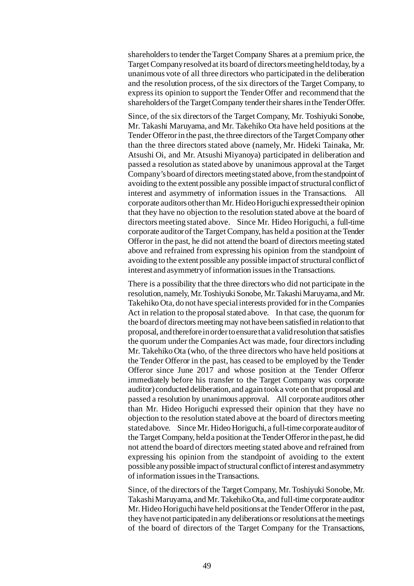shareholders to tender the Target Company Shares at a premium price, the Target Company resolved at its board of directors meeting held today, by a unanimous vote of all three directors who participated in the deliberation and the resolution process, of the six directors of the Target Company, to express its opinion to support the Tender Offer and recommend that the shareholders of the Target Company tender their shares in the Tender Offer.

Since, of the six directors of the Target Company, Mr. Toshiyuki Sonobe, Mr. Takashi Maruyama, and Mr. Takehiko Ota have held positions at the Tender Offeror in the past, the three directors of the Target Company other than the three directors stated above (namely, Mr. Hideki Tainaka, Mr. Atsushi Oi, and Mr. Atsushi Miyanoya) participated in deliberation and passed a resolution as stated above by unanimous approval at the Target Company's board of directors meeting stated above, from the standpoint of avoiding to the extent possible any possible impact of structural conflict of interest and asymmetry of information issues in the Transactions. All corporate auditors other than Mr. Hideo Horiguchi expressed their opinion that they have no objection to the resolution stated above at the board of directors meeting stated above. Since Mr. Hideo Horiguchi, a full-time corporate auditor of the Target Company, has held a position at the Tender Offeror in the past, he did not attend the board of directors meeting stated above and refrained from expressing his opinion from the standpoint of avoiding to the extent possible any possible impact of structural conflict of interest and asymmetry of information issues in the Transactions.

There is a possibility that the three directors who did not participate in the resolution, namely, Mr. Toshiyuki Sonobe, Mr. Takashi Maruyama, and Mr. Takehiko Ota, do not have special interests provided for in the Companies Act in relation to the proposal stated above. In that case, the quorum for the board of directors meeting may not have been satisfied in relation to that proposal, and therefore in order to ensure that a valid resolution that satisfies the quorum under the Companies Act was made, four directors including Mr. Takehiko Ota (who, of the three directors who have held positions at the Tender Offeror in the past, has ceased to be employed by the Tender Offeror since June 2017 and whose position at the Tender Offeror immediately before his transfer to the Target Company was corporate auditor) conducted deliberation, and again took a vote on that proposal and passed a resolution by unanimous approval. All corporate auditors other than Mr. Hideo Horiguchi expressed their opinion that they have no objection to the resolution stated above at the board of directors meeting stated above. Since Mr. Hideo Horiguchi, a full-time corporate auditor of the Target Company, held a position at the Tender Offeror in the past, he did not attend the board of directors meeting stated above and refrained from expressing his opinion from the standpoint of avoiding to the extent possible any possible impact of structural conflict of interest and asymmetry of information issues in the Transactions.

Since, of the directors of the Target Company, Mr. Toshiyuki Sonobe, Mr. Takashi Maruyama, and Mr. Takehiko Ota, and full-time corporate auditor Mr. Hideo Horiguchi have held positions at the Tender Offeror in the past, they have not participated in any deliberations or resolutions at the meetings of the board of directors of the Target Company for the Transactions,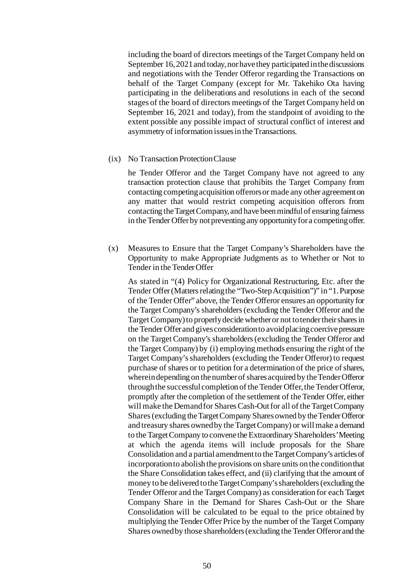including the board of directors meetings of the Target Company held on September 16, 2021 and today, nor have they participated in the discussions and negotiations with the Tender Offeror regarding the Transactions on behalf of the Target Company (except for Mr. Takehiko Ota having participating in the deliberations and resolutions in each of the second stages of the board of directors meetings of the Target Company held on September 16, 2021 and today), from the standpoint of avoiding to the extent possible any possible impact of structural conflict of interest and asymmetry of information issues in the Transactions.

#### (ix) No Transaction Protection Clause

he Tender Offeror and the Target Company have not agreed to any transaction protection clause that prohibits the Target Company from contacting competing acquisition offerors or made any other agreement on any matter that would restrict competing acquisition offerors from contacting the Target Company, and have been mindful of ensuring fairness in the Tender Offer by not preventing any opportunity for a competing offer.

(x) Measures to Ensure that the Target Company's Shareholders have the Opportunity to make Appropriate Judgments as to Whether or Not to Tender in the Tender Offer

As stated in "(4) Policy for Organizational Restructuring, Etc. after the Tender Offer (Matters relating the "Two-Step Acquisition")" in "1. Purpose of the Tender Offer" above, the Tender Offeror ensures an opportunity for the Target Company's shareholders (excluding the Tender Offeror and the Target Company) to properly decide whether or not to tender their shares in the Tender Offer and gives consideration to avoid placing coercive pressure on the Target Company's shareholders (excluding the Tender Offeror and the Target Company) by (i) employing methods ensuring the right of the Target Company's shareholders (excluding the Tender Offeror) to request purchase of shares or to petition for a determination of the price of shares, wherein depending on the number of shares acquired by the Tender Offeror through the successful completion of the Tender Offer, the Tender Offeror, promptly after the completion of the settlement of the Tender Offer, either will make the Demand for Shares Cash-Out for all of the Target Company Shares (excluding the Target Company Shares owned by the Tender Offeror and treasury shares owned by the Target Company) or will make a demand to the Target Company to convene the Extraordinary Shareholders' Meeting at which the agenda items will include proposals for the Share Consolidation and a partial amendment to the Target Company's articles of incorporation to abolish the provisions on share units on the condition that the Share Consolidation takes effect, and (ii) clarifying that the amount of money to be delivered to the Target Company's shareholders (excluding the Tender Offeror and the Target Company) as consideration for each Target Company Share in the Demand for Shares Cash-Out or the Share Consolidation will be calculated to be equal to the price obtained by multiplying the Tender Offer Price by the number of the Target Company Shares owned by those shareholders (excluding the Tender Offeror and the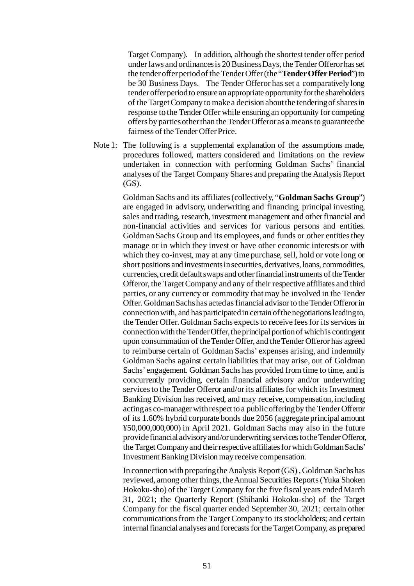Target Company). In addition, although the shortest tender offer period under laws and ordinances is 20 Business Days, the Tender Offeror has set the tender offer period of the Tender Offer (the "**Tender Offer Period**") to be 30 Business Days. The Tender Offeror has set a comparatively long tenderoffer period to ensure an appropriate opportunity for the shareholders of the Target Company to make a decision about the tendering of shares in response to the Tender Offer while ensuring an opportunity for competing offers by parties other than the Tender Offeror as a means to guarantee the fairness of the Tender Offer Price.

Note 1: The following is a supplemental explanation of the assumptions made, procedures followed, matters considered and limitations on the review undertaken in connection with performing Goldman Sachs' financial analyses of the Target Company Shares and preparing the Analysis Report (GS).

> Goldman Sachs and its affiliates (collectively, "**Goldman Sachs Group**") are engaged in advisory, underwriting and financing, principal investing, sales and trading, research, investment management and other financial and non-financial activities and services for various persons and entities. Goldman Sachs Group and its employees, and funds or other entities they manage or in which they invest or have other economic interests or with which they co-invest, may at any time purchase, sell, hold or vote long or short positions and investments in securities, derivatives, loans, commodities, currencies, credit default swaps and other financial instruments of the Tender Offeror, the Target Company and any of their respective affiliates and third parties, or any currency or commodity that may be involved in the Tender Offer. Goldman Sachs has acted as financial advisor to the Tender Offeror in connection with, and has participated in certain of the negotiations leading to, the Tender Offer. Goldman Sachs expects to receive fees for its services in connection with the Tender Offer, the principal portion of which is contingent upon consummation of the Tender Offer, and the Tender Offeror has agreed to reimburse certain of Goldman Sachs' expenses arising, and indemnify Goldman Sachs against certain liabilities that may arise, out of Goldman Sachs' engagement. Goldman Sachs has provided from time to time, and is concurrently providing, certain financial advisory and/or underwriting services to the Tender Offeror and/or its affiliates for which its Investment Banking Division has received, and may receive, compensation, including acting as co-manager with respect to a public offering by the Tender Offeror of its 1.60% hybrid corporate bonds due 2056 (aggregate principal amount ¥50,000,000,000) in April 2021. Goldman Sachs may also in the future provide financial advisory and/or underwriting services to the Tender Offeror, the Target Company and their respective affiliates for which Goldman Sachs' Investment Banking Division may receive compensation.

> In connection with preparing the Analysis Report (GS) , Goldman Sachs has reviewed, among other things, the Annual Securities Reports (Yuka Shoken Hokoku-sho) of the Target Company for the five fiscal years ended March 31, 2021; the Quarterly Report (Shihanki Hokoku-sho) of the Target Company for the fiscal quarter ended September 30, 2021; certain other communications from the Target Company to its stockholders; and certain internal financial analyses and forecasts for the Target Company, as prepared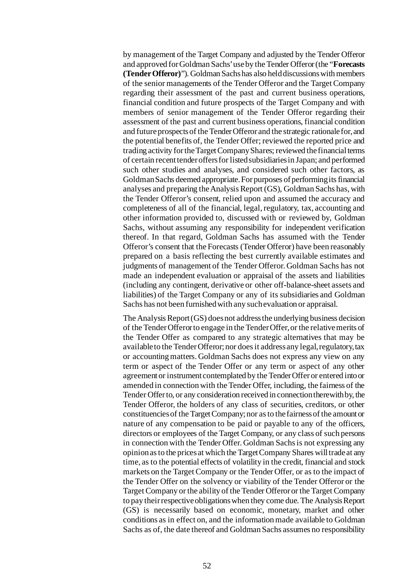by management of the Target Company and adjusted by the Tender Offeror and approved for Goldman Sachs' use by the Tender Offeror (the "**Forecasts (Tender Offeror)**"). Goldman Sachs has also held discussions with members of the senior managements of the Tender Offeror and the Target Company regarding their assessment of the past and current business operations, financial condition and future prospects of the Target Company and with members of senior management of the Tender Offeror regarding their assessment of the past and current business operations, financial condition and future prospects of the Tender Offeror and the strategic rationale for, and the potential benefits of, the Tender Offer; reviewed the reported price and trading activity for the Target Company Shares; reviewed the financial terms of certain recent tender offers for listed subsidiaries in Japan; and performed such other studies and analyses, and considered such other factors, as Goldman Sachs deemed appropriate. For purposes of performing its financial analyses and preparing the Analysis Report (GS), Goldman Sachs has, with the Tender Offeror's consent, relied upon and assumed the accuracy and completeness of all of the financial, legal, regulatory, tax, accounting and other information provided to, discussed with or reviewed by, Goldman Sachs, without assuming any responsibility for independent verification thereof. In that regard, Goldman Sachs has assumed with the Tender Offeror's consent that the Forecasts (Tender Offeror) have been reasonably prepared on a basis reflecting the best currently available estimates and judgments of management of the Tender Offeror. Goldman Sachs has not made an independent evaluation or appraisal of the assets and liabilities (including any contingent, derivative or other off-balance-sheet assets and liabilities) of the Target Company or any of its subsidiaries and Goldman Sachs has not been furnished with any such evaluation or appraisal.

The Analysis Report (GS) does not address the underlying business decision of the Tender Offeror to engage in the Tender Offer, or the relative merits of the Tender Offer as compared to any strategic alternatives that may be available to the Tender Offeror; nor does it address any legal, regulatory, tax or accounting matters. Goldman Sachs does not express any view on any term or aspect of the Tender Offer or any term or aspect of any other agreement or instrument contemplated by the Tender Offer or entered into or amended in connection with the Tender Offer, including, the fairness of the Tender Offer to, or any consideration received in connection therewith by, the Tender Offeror, the holders of any class of securities, creditors, or other constituencies of the Target Company; nor as to the fairness of the amount or nature of any compensation to be paid or payable to any of the officers, directors or employees of the Target Company, or any class of such persons in connection with the Tender Offer. Goldman Sachs is not expressing any opinion as to the prices at which the Target Company Shares will trade at any time, as to the potential effects of volatility in the credit, financial and stock markets on the Target Company or the Tender Offer, or as to the impact of the Tender Offer on the solvency or viability of the Tender Offeror or the Target Company or the ability of the Tender Offeror or the Target Company to pay their respective obligations when they come due. The Analysis Report (GS) is necessarily based on economic, monetary, market and other conditions as in effect on, and the information made available to Goldman Sachs as of, the date thereof and Goldman Sachs assumes no responsibility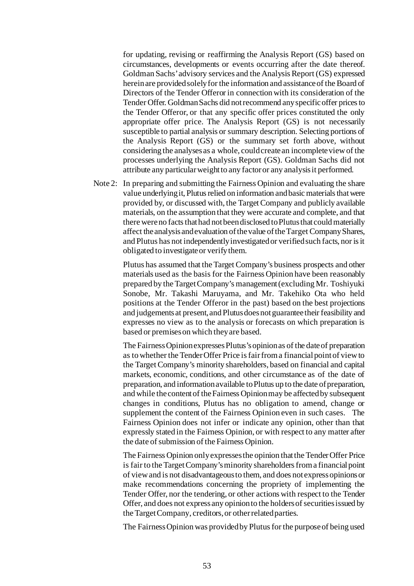for updating, revising or reaffirming the Analysis Report (GS) based on circumstances, developments or events occurring after the date thereof. Goldman Sachs' advisory services and the Analysis Report (GS) expressed herein are provided solely for the information and assistance of the Board of Directors of the Tender Offeror in connection with its consideration of the Tender Offer. Goldman Sachs did not recommend any specific offer prices to the Tender Offeror, or that any specific offer prices constituted the only appropriate offer price. The Analysis Report (GS) is not necessarily susceptible to partial analysis or summary description. Selecting portions of the Analysis Report (GS) or the summary set forth above, without considering the analyses as a whole, couldcreate an incomplete view of the processes underlying the Analysis Report (GS). Goldman Sachs did not attribute any particular weight to any factor or any analysis it performed.

Note 2: In preparing and submitting the Fairness Opinion and evaluating the share value underlying it, Plutus relied on information and basic materials that were provided by, or discussed with, the Target Company and publicly available materials, on the assumption that they were accurate and complete, and that there were no facts that had not been disclosed to Plutus that could materially affect the analysis and evaluation of the value of the Target Company Shares, and Plutus has not independently investigated or verified such facts, nor is it obligated to investigate or verify them.

> Plutus has assumed that the Target Company's business prospects and other materials used as the basis for the Fairness Opinion have been reasonably prepared by the Target Company's management (excluding Mr. Toshiyuki Sonobe, Mr. Takashi Maruyama, and Mr. Takehiko Ota who held positions at the Tender Offeror in the past) based on the best projections and judgements at present, and Plutus does not guarantee their feasibility and expresses no view as to the analysis or forecasts on which preparation is based or premises on which they are based.

> The Fairness Opinion expresses Plutus's opinion as of the date of preparation as to whether the Tender Offer Price is fair from a financial point of view to the Target Company's minority shareholders, based on financial and capital markets, economic, conditions, and other circumstance as of the date of preparation, and information available to Plutus up to the date of preparation, and while the content of the Fairness Opinion may be affected by subsequent changes in conditions, Plutus has no obligation to amend, change or supplement the content of the Fairness Opinion even in such cases. The Fairness Opinion does not infer or indicate any opinion, other than that expressly stated in the Fairness Opinion, or with respect to any matter after the date of submission of the Fairness Opinion.

> The Fairness Opinion only expresses the opinion that the Tender Offer Price is fair to the Target Company's minority shareholders from a financial point of view and is not disadvantageousto them, and does not express opinions or make recommendations concerning the propriety of implementing the Tender Offer, nor the tendering, or other actions with respect to the Tender Offer, and does not express any opinion to the holders of securities issued by the Target Company, creditors, or other related parties.

> The Fairness Opinion was provided by Plutus for the purpose of being used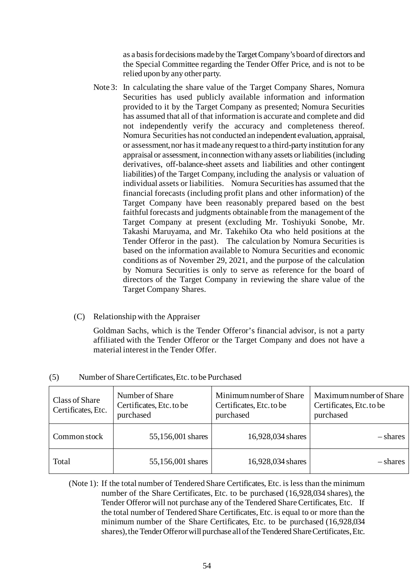as a basis for decisions made by the Target Company's board of directors and the Special Committee regarding the Tender Offer Price, and is not to be relied upon by any other party.

- Note 3: In calculating the share value of the Target Company Shares, Nomura Securities has used publicly available information and information provided to it by the Target Company as presented; Nomura Securities has assumed that all of that information is accurate and complete and did not independently verify the accuracy and completeness thereof. Nomura Securities has not conducted an independent evaluation, appraisal, or assessment, nor has it made any request to a third-party institution for any appraisal or assessment, in connection with any assets or liabilities (including derivatives, off-balance-sheet assets and liabilities and other contingent liabilities) of the Target Company, including the analysis or valuation of individual assets or liabilities. Nomura Securities has assumed that the financial forecasts (including profit plans and other information) of the Target Company have been reasonably prepared based on the best faithful forecasts and judgments obtainable from the management of the Target Company at present (excluding Mr. Toshiyuki Sonobe, Mr. Takashi Maruyama, and Mr. Takehiko Ota who held positions at the Tender Offeror in the past). The calculation by Nomura Securities is based on the information available to Nomura Securities and economic conditions as of November 29, 2021, and the purpose of the calculation by Nomura Securities is only to serve as reference for the board of directors of the Target Company in reviewing the share value of the Target Company Shares.
- (C) Relationship with the Appraiser

Goldman Sachs, which is the Tender Offeror's financial advisor, is not a party affiliated with the Tender Offeror or the Target Company and does not have a material interest in the Tender Offer.

| Class of Share<br>Certificates, Etc. | Number of Share<br>Certificates, Etc. to be<br>purchased | Minimum number of Share<br>Certificates, Etc. to be<br>purchased | Maximum number of Share<br>Certificates, Etc. to be<br>purchased |
|--------------------------------------|----------------------------------------------------------|------------------------------------------------------------------|------------------------------------------------------------------|
| Common stock                         | 55,156,001 shares                                        | 16,928,034 shares                                                | – shares                                                         |
| Total                                | 55,156,001 shares                                        | 16,928,034 shares                                                | – shares                                                         |

### (5) Number of Share Certificates, Etc. to be Purchased

(Note 1): If the total number of Tendered Share Certificates, Etc. is less than the minimum number of the Share Certificates, Etc. to be purchased (16,928,034 shares), the Tender Offeror will not purchase any of the Tendered Share Certificates, Etc. If the total number of Tendered Share Certificates, Etc. is equal to or more than the minimum number of the Share Certificates, Etc. to be purchased (16,928,034 shares), the Tender Offeror will purchase all of the Tendered Share Certificates, Etc.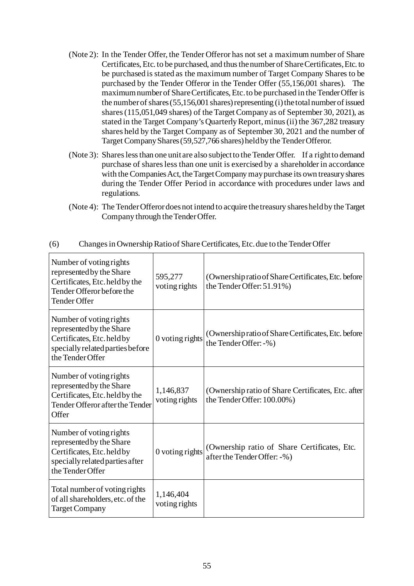- (Note 2): In the Tender Offer, the Tender Offeror has not set a maximum number of Share Certificates, Etc. to be purchased, and thus the number of Share Certificates, Etc. to be purchased is stated as the maximum number of Target Company Shares to be purchased by the Tender Offeror in the Tender Offer (55,156,001 shares). The maximum number of Share Certificates, Etc. to be purchased in the Tender Offer is the number of shares (55,156,001 shares) representing (i) the total number of issued shares (115,051,049 shares) of the Target Company as of September 30, 2021), as stated in the Target Company's Quarterly Report, minus (ii) the 367,282 treasury shares held by the Target Company as of September 30, 2021 and the number of Target Company Shares (59,527,766 shares) held by the Tender Offeror.
- (Note 3): Shares less than one unit are also subject to the Tender Offer. If a right to demand purchase of shares less than one unit is exercised by a shareholder in accordance with the Companies Act, the Target Company may purchase its own treasury shares during the Tender Offer Period in accordance with procedures under laws and regulations.
- (Note 4): The Tender Offeror does not intend to acquire the treasury shares held by the Target Company through the Tender Offer.

| Number of voting rights<br>represented by the Share<br>Certificates, Etc. held by the<br>Tender Offeror before the<br>Tender Offer        | 595,277<br>voting rights   | (Ownership ratio of Share Certificates, Etc. before)<br>the Tender Offer: 51.91%) |
|-------------------------------------------------------------------------------------------------------------------------------------------|----------------------------|-----------------------------------------------------------------------------------|
| Number of voting rights<br>represented by the Share<br>Certificates, Etc. held by<br>specially related parties before<br>the Tender Offer | 0 voting rights            | (Ownership ratio of Share Certificates, Etc. before<br>the Tender Offer: -%)      |
| Number of voting rights<br>represented by the Share<br>Certificates, Etc. held by the<br>Tender Offeror after the Tender<br>Offer         | 1,146,837<br>voting rights | (Ownership ratio of Share Certificates, Etc. after)<br>the Tender Offer: 100.00%) |
| Number of voting rights<br>represented by the Share<br>Certificates, Etc. held by<br>specially related parties after<br>the Tender Offer  | 0 voting rights            | (Ownership ratio of Share Certificates, Etc.)<br>after the Tender Offer: -%)      |
| Total number of voting rights<br>of all shareholders, etc. of the<br><b>Target Company</b>                                                | 1,146,404<br>voting rights |                                                                                   |

(6) Changes in Ownership Ratio of Share Certificates, Etc. due to the Tender Offer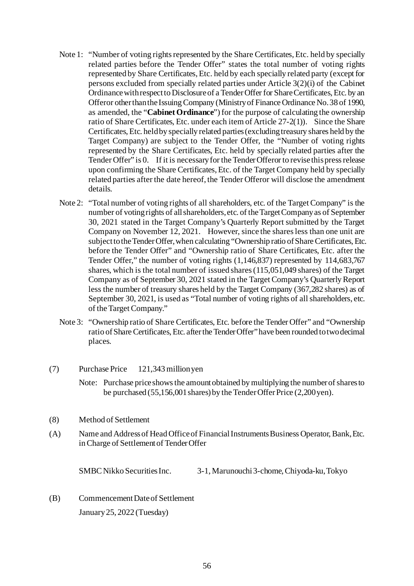- Note 1: "Number of voting rights represented by the Share Certificates, Etc. held by specially related parties before the Tender Offer" states the total number of voting rights represented by Share Certificates, Etc. held by each specially related party (except for persons excluded from specially related parties under Article 3(2)(i) of the Cabinet Ordinance with respect to Disclosure of a Tender Offer for Share Certificates, Etc. by an Offeror other than the Issuing Company (Ministry of Finance Ordinance No. 38 of 1990, as amended, the "**Cabinet Ordinance**") for the purpose of calculating the ownership ratio of Share Certificates, Etc. under each item of Article 27-2(1)). Since the Share Certificates, Etc. held by specially related parties (excluding treasury shares held by the Target Company) are subject to the Tender Offer, the "Number of voting rights represented by the Share Certificates, Etc. held by specially related parties after the Tender Offer" is 0. If it is necessary for the Tender Offeror to revise this press release upon confirming the Share Certificates, Etc. of the Target Company held by specially related parties after the date hereof, the Tender Offeror will disclose the amendment details.
- Note 2: "Total number of voting rights of all shareholders, etc. of the Target Company" is the number of voting rights of all shareholders, etc. of the Target Company as of September 30, 2021 stated in the Target Company's Quarterly Report submitted by the Target Company on November 12, 2021. However, since the shares less than one unit are subject to the Tender Offer, when calculating "Ownership ratio of Share Certificates, Etc. before the Tender Offer" and "Ownership ratio of Share Certificates, Etc. after the Tender Offer," the number of voting rights (1,146,837) represented by 114,683,767 shares, which is the total number of issued shares (115,051,049 shares) of the Target Company as of September 30, 2021 stated in the Target Company's Quarterly Report less the number of treasury shares held by the Target Company (367,282 shares) as of September 30, 2021, is used as "Total number of voting rights of all shareholders, etc. of the Target Company."
- Note 3: "Ownership ratio of Share Certificates, Etc. before the Tender Offer" and "Ownership ratio of Share Certificates, Etc. after the Tender Offer" have been rounded to two decimal places.
- (7) Purchase Price 121,343million yen
	- Note: Purchase price shows the amount obtained by multiplying the number of shares to be purchased (55,156,001 shares) by the Tender Offer Price (2,200 yen).
- (8) Method of Settlement
- (A) Name and Address of Head Office of Financial Instruments Business Operator, Bank, Etc. in Charge of Settlement of Tender Offer

SMBC Nikko Securities Inc. 3-1, Marunouchi 3-chome, Chiyoda-ku, Tokyo

(B) Commencement Date of Settlement January 25, 2022 (Tuesday)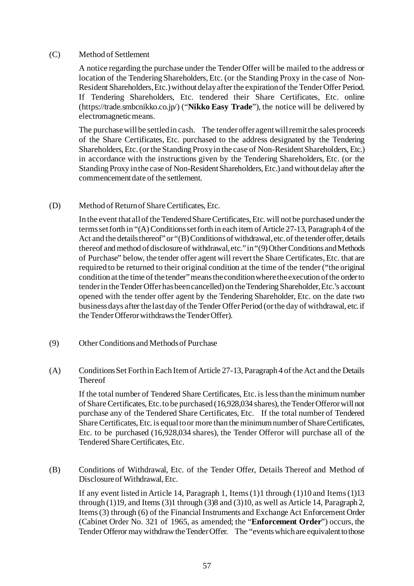### (C) Method of Settlement

A notice regarding the purchase under the Tender Offer will be mailed to the address or location of the Tendering Shareholders, Etc. (or the Standing Proxy in the case of Non-Resident Shareholders, Etc.) without delay after the expiration of the Tender Offer Period. If Tendering Shareholders, Etc. tendered their Share Certificates, Etc. online (https://trade.smbcnikko.co.jp/) ("**Nikko Easy Trade**"), the notice will be delivered by electromagnetic means.

The purchase will be settled in cash. The tender offer agent will remit the sales proceeds of the Share Certificates, Etc. purchased to the address designated by the Tendering Shareholders, Etc. (or the Standing Proxy in the case of Non-Resident Shareholders, Etc.) in accordance with the instructions given by the Tendering Shareholders, Etc. (or the Standing Proxy in the case of Non-Resident Shareholders, Etc.) and without delay after the commencement date of the settlement.

### (D) Method of Return of Share Certificates, Etc.

In the event that all of the Tendered Share Certificates, Etc. will not be purchased under the terms set forth in "(A) Conditions set forth in each item of Article 27-13, Paragraph 4 of the Act and the details thereof" or "(B) Conditions of withdrawal, etc. of the tender offer, details thereof and method of disclosure of withdrawal, etc." in "(9) Other Conditions and Methods of Purchase" below, the tender offer agent will revert the Share Certificates, Etc. that are required to be returned to their original condition at the time of the tender ("the original condition at the time of the tender" means the condition where the execution of the order to tender in the Tender Offer has been cancelled) on the Tendering Shareholder, Etc.'s account opened with the tender offer agent by the Tendering Shareholder, Etc. on the date two business days after the last day of the Tender Offer Period (or the day of withdrawal, etc. if the Tender Offeror withdraws the Tender Offer).

(9) Other Conditions and Methods of Purchase

# (A) Conditions Set Forth in Each Item of Article 27-13, Paragraph 4 of the Act and the Details Thereof

If the total number of Tendered Share Certificates, Etc. is less than the minimum number of Share Certificates, Etc. to be purchased (16,928,034 shares), the Tender Offeror will not purchase any of the Tendered Share Certificates, Etc. If the total number of Tendered Share Certificates, Etc. is equal to or more than the minimum number of Share Certificates, Etc. to be purchased (16,928,034 shares), the Tender Offeror will purchase all of the Tendered Share Certificates, Etc.

(B) Conditions of Withdrawal, Etc. of the Tender Offer, Details Thereof and Method of Disclosure of Withdrawal, Etc.

If any event listed in Article 14, Paragraph 1, Items (1)1 through (1)10 and Items (1)13 through (1)19, and Items (3)1 through (3)8 and (3)10, as well as Article 14, Paragraph 2, Items (3) through (6) of the Financial Instruments and Exchange Act Enforcement Order (Cabinet Order No. 321 of 1965, as amended; the "**Enforcement Order**") occurs, the Tender Offeror may withdraw the Tender Offer. The "events which are equivalent to those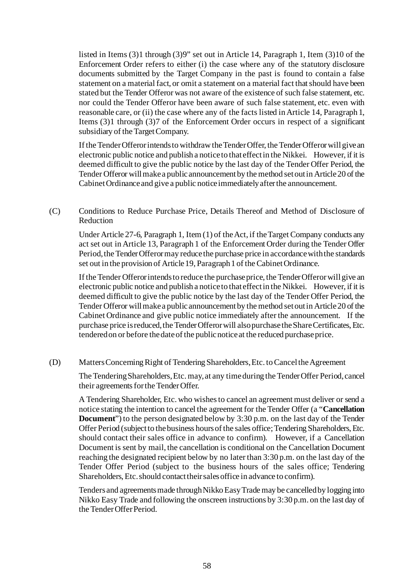listed in Items (3)1 through (3)9" set out in Article 14, Paragraph 1, Item (3)10 of the Enforcement Order refers to either (i) the case where any of the statutory disclosure documents submitted by the Target Company in the past is found to contain a false statement on a material fact, or omit a statement on a material fact that should have been stated but the Tender Offeror was not aware of the existence of such false statement, etc. nor could the Tender Offeror have been aware of such false statement, etc. even with reasonable care, or (ii) the case where any of the facts listed in Article 14, Paragraph 1, Items (3)1 through (3)7 of the Enforcement Order occurs in respect of a significant subsidiary of the Target Company.

If the Tender Offeror intends to withdraw the Tender Offer, the Tender Offeror will give an electronic public notice and publish a notice to that effect in the Nikkei. However, if it is deemed difficult to give the public notice by the last day of the Tender Offer Period, the Tender Offeror will make a public announcement by the method set out in Article 20 of the Cabinet Ordinance and give a public notice immediately after the announcement.

(C) Conditions to Reduce Purchase Price, Details Thereof and Method of Disclosure of Reduction

Under Article 27-6, Paragraph 1, Item (1) of the Act, if the Target Company conducts any act set out in Article 13, Paragraph 1 of the Enforcement Order during the Tender Offer Period, the Tender Offeror may reduce the purchase price in accordance with the standards set out in the provision of Article 19, Paragraph 1 of the Cabinet Ordinance.

If the Tender Offeror intends to reduce the purchase price, the Tender Offeror will give an electronic public notice and publish a notice to that effect in the Nikkei. However, if it is deemed difficult to give the public notice by the last day of the Tender Offer Period, the Tender Offeror will make a public announcement by the method set out in Article 20 of the Cabinet Ordinance and give public notice immediately after the announcement. If the purchase price is reduced, the Tender Offeror will also purchase the Share Certificates, Etc. tendered on or before the date of the public notice at the reduced purchase price.

(D) Matters Concerning Right of Tendering Shareholders, Etc. to Cancel the Agreement

The Tendering Shareholders, Etc. may, at any time during the Tender Offer Period, cancel their agreements for the Tender Offer.

A Tendering Shareholder, Etc. who wishes to cancel an agreement must deliver or send a notice stating the intention to cancel the agreement for the Tender Offer (a "**Cancellation Document**") to the person designated below by 3:30 p.m. on the last day of the Tender Offer Period (subject to the business hours of the sales office; Tendering Shareholders, Etc. should contact their sales office in advance to confirm). However, if a Cancellation Document is sent by mail, the cancellation is conditional on the Cancellation Document reaching the designated recipient below by no later than 3:30 p.m. on the last day of the Tender Offer Period (subject to the business hours of the sales office; Tendering Shareholders, Etc. should contact their sales office in advance to confirm).

Tenders and agreements made through Nikko Easy Trade may be cancelled by logging into Nikko Easy Trade and following the onscreen instructions by 3:30 p.m. on the last day of the Tender Offer Period.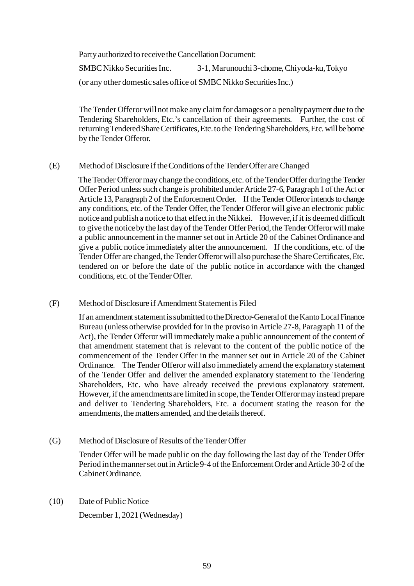Party authorized to receive the Cancellation Document:

SMBC Nikko Securities Inc. 3-1, Marunouchi 3-chome,Chiyoda-ku, Tokyo (or any other domestic sales office of SMBC Nikko Securities Inc.)

The Tender Offeror will not make any claim for damages or a penalty payment due to the Tendering Shareholders, Etc.'s cancellation of their agreements. Further, the cost of returning Tendered Share Certificates, Etc. to the Tendering Shareholders, Etc. will be borne by the Tender Offeror.

# (E) Method of Disclosure if the Conditions of the Tender Offer are Changed

The Tender Offeror may change the conditions, etc. of the Tender Offer during the Tender Offer Period unless such change is prohibited under Article 27-6, Paragraph 1 of the Act or Article 13, Paragraph 2 of the Enforcement Order. If the Tender Offeror intends to change any conditions, etc. of the Tender Offer, the Tender Offeror will give an electronic public notice and publish a notice to that effect in the Nikkei. However, if it is deemed difficult to give the notice by the last day of the Tender Offer Period, the Tender Offeror will make a public announcement in the manner set out in Article 20 of the Cabinet Ordinance and give a public notice immediately after the announcement. If the conditions, etc. of the Tender Offer are changed, the Tender Offeror will also purchase the Share Certificates, Etc. tendered on or before the date of the public notice in accordance with the changed conditions, etc. of the Tender Offer.

# (F) Method of Disclosure if Amendment Statement is Filed

If an amendment statement is submitted to the Director-General of the Kanto Local Finance Bureau (unless otherwise provided for in the proviso in Article 27-8, Paragraph 11 of the Act), the Tender Offeror will immediately make a public announcement of the content of that amendment statement that is relevant to the content of the public notice of the commencement of the Tender Offer in the manner set out in Article 20 of the Cabinet Ordinance. The Tender Offeror will also immediately amend the explanatory statement of the Tender Offer and deliver the amended explanatory statement to the Tendering Shareholders, Etc. who have already received the previous explanatory statement. However, if the amendments are limited in scope, the Tender Offeror may instead prepare and deliver to Tendering Shareholders, Etc. a document stating the reason for the amendments, the matters amended, and the details thereof.

(G) Method of Disclosure of Results of the Tender Offer

Tender Offer will be made public on the day following the last day of the Tender Offer Period in the manner set out in Article 9-4 of the Enforcement Order and Article 30-2 of the Cabinet Ordinance.

(10) Date of Public Notice

December 1, 2021 (Wednesday)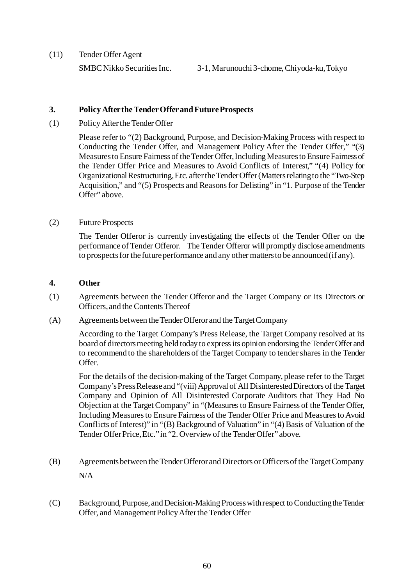(11) Tender Offer Agent

# **3. Policy After the Tender Offer and Future Prospects**

(1) Policy After the Tender Offer

Please refer to "(2) Background, Purpose, and Decision-Making Process with respect to Conducting the Tender Offer, and Management Policy After the Tender Offer," "(3) Measures to Ensure Fairness of the Tender Offer, Including Measures to Ensure Fairness of the Tender Offer Price and Measures to Avoid Conflicts of Interest," "(4) Policy for Organizational Restructuring, Etc. after the Tender Offer (Matters relating to the "Two-Step Acquisition," and "(5) Prospects and Reasons for Delisting" in "1. Purpose of the Tender Offer" above.

# (2) Future Prospects

The Tender Offeror is currently investigating the effects of the Tender Offer on the performance of Tender Offeror. The Tender Offeror will promptly disclose amendments to prospects for the future performance and any other matters to be announced (if any).

# **4. Other**

- (1) Agreements between the Tender Offeror and the Target Company or its Directors or Officers, and the Contents Thereof
- (A) Agreements between the Tender Offeror and the Target Company

According to the Target Company's Press Release, the Target Company resolved at its board of directors meeting held today to express its opinion endorsing the Tender Offer and to recommend to the shareholders of the Target Company to tender shares in the Tender Offer.

For the details of the decision-making of the Target Company, please refer to the Target Company's Press Release and "(viii) Approval of All Disinterested Directors of the Target Company and Opinion of All Disinterested Corporate Auditors that They Had No Objection at the Target Company" in "(Measures to Ensure Fairness of the Tender Offer, Including Measures to Ensure Fairness of the Tender Offer Price and Measures to Avoid Conflicts of Interest)" in "(B) Background of Valuation" in "(4) Basis of Valuation of the Tender Offer Price, Etc." in "2. Overview of the Tender Offer" above.

- (B) Agreements between the Tender Offeror and Directors or Officers of the Target Company N/A
- (C) Background, Purpose, and Decision-Making Process with respect to Conducting the Tender Offer, and Management Policy After the Tender Offer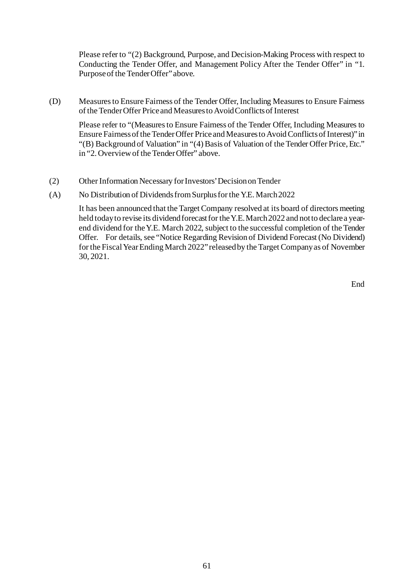Please refer to "(2) Background, Purpose, and Decision-Making Process with respect to Conducting the Tender Offer, and Management Policy After the Tender Offer" in "1. Purpose of the Tender Offer" above.

(D) Measures to Ensure Fairness of the Tender Offer, Including Measures to Ensure Fairness of the Tender Offer Price and Measures to Avoid Conflicts of Interest

Please refer to "(Measures to Ensure Fairness of the Tender Offer, Including Measures to Ensure Fairness of the Tender Offer Price and Measures to Avoid Conflicts of Interest)" in "(B) Background of Valuation" in "(4) Basis of Valuation of the Tender Offer Price, Etc." in "2. Overview of the Tender Offer" above.

- (2) Other Information Necessary for Investors' Decision on Tender
- (A) No Distribution of Dividends from Surplus for the Y.E. March 2022

It has been announced that the Target Company resolved at its board of directors meeting held today to revise its dividend forecast for the Y.E. March 2022 and not to declare a yearend dividend for the Y.E. March 2022, subject to the successful completion of the Tender Offer. For details, see "Notice Regarding Revision of Dividend Forecast (No Dividend) for the Fiscal Year Ending March 2022" released by the Target Company as of November 30, 2021.

End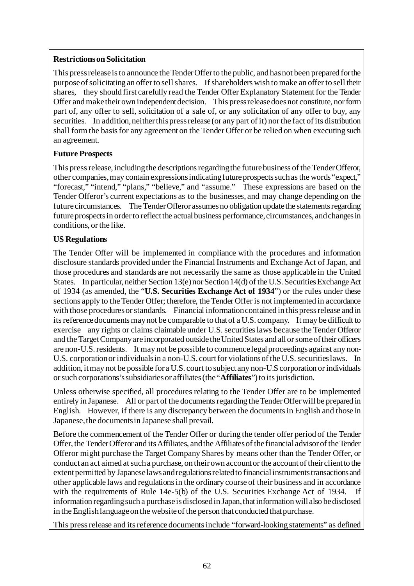# **Restrictions on Solicitation**

This press release is to announce the Tender Offer to the public, and has not been prepared for the purpose of solicitating an offer to sell shares. If shareholders wish to make an offer to sell their shares, they should first carefully read the Tender Offer Explanatory Statement for the Tender Offer and make their own independent decision. This press release does not constitute, nor form part of, any offer to sell, solicitation of a sale of, or any solicitation of any offer to buy, any securities. In addition, neither this press release (or any part of it) nor the fact of its distribution shall form the basis for any agreement on the Tender Offer or be relied on when executing such an agreement.

# **Future Prospects**

This press release, including the descriptions regarding the future business of the Tender Offeror, other companies, may contain expressions indicating future prospects such as the words "expect," "forecast," "intend," "plans," "believe," and "assume." These expressions are based on the Tender Offeror's current expectations as to the businesses, and may change depending on the future circumstances. The Tender Offeror assumes no obligation update the statements regarding future prospects in order to reflect the actual business performance, circumstances, and changes in conditions, or the like.

# **US Regulations**

The Tender Offer will be implemented in compliance with the procedures and information disclosure standards provided under the Financial Instruments and Exchange Act of Japan, and those procedures and standards are not necessarily the same as those applicable in the United States. In particular, neither Section 13(e) nor Section 14(d) of the U.S. Securities Exchange Act of 1934 (as amended, the "**U.S. Securities Exchange Act of 1934**") or the rules under these sections apply to the Tender Offer; therefore, the Tender Offer is not implemented in accordance with those procedures or standards. Financial information contained in this press release and in its reference documents may not be comparable to that of a U.S. company. It may be difficult to exercise any rights or claims claimable under U.S. securities laws because the Tender Offeror and the Target Company are incorporated outside the United States and all or some of their officers are non-U.S. residents. It may not be possible to commence legal proceedings against any non-U.S. corporation or individuals in a non-U.S. court for violations of the U.S. securities laws. In addition, it may not be possible for a U.S. court to subject any non-U.S corporation or individuals or such corporations's subsidiaries or affiliates(the "**Affiliates**") to its jurisdiction.

Unless otherwise specified, all procedures relating to the Tender Offer are to be implemented entirely in Japanese. All or part of the documents regarding the Tender Offer will be prepared in English. However, if there is any discrepancy between the documents in English and those in Japanese, the documents in Japanese shall prevail.

Before the commencement of the Tender Offer or during the tender offer period of the Tender Offer, the Tender Offeror and its Affiliates, and the Affiliates of the financial advisor of the Tender Offeror might purchase the Target Company Shares by means other than the Tender Offer, or conduct an act aimed at such a purchase, on their own account or the account of their client to the extent permitted by Japanese laws and regulations related to financial instruments transactions and other applicable laws and regulations in the ordinary course of their business and in accordance with the requirements of Rule 14e-5(b) of the U.S. Securities Exchange Act of 1934. If information regarding such a purchase is disclosed in Japan, that information will also be disclosed in the English language on the website of the person that conducted that purchase.

This press release and its reference documentsinclude "forward-looking statements" as defined